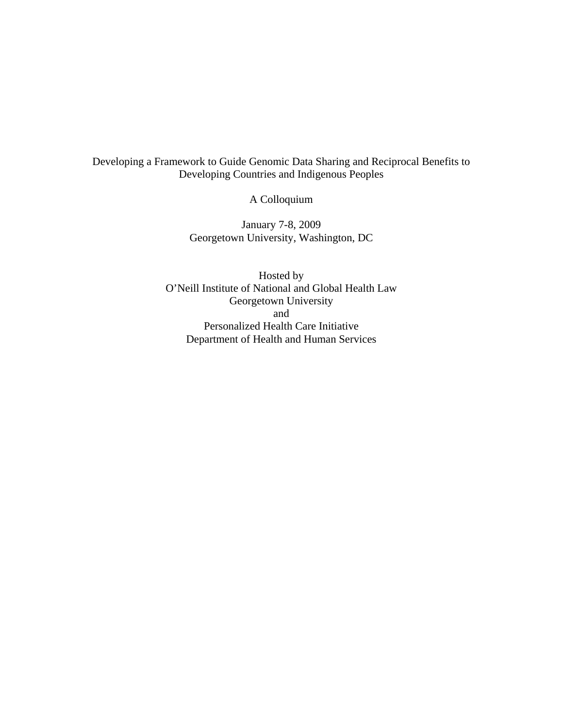## Developing a Framework to Guide Genomic Data Sharing and Reciprocal Benefits to Developing Countries and Indigenous Peoples

A Colloquium

January 7-8, 2009 Georgetown University, Washington, DC

Hosted by O'Neill Institute of National and Global Health Law Georgetown University and Personalized Health Care Initiative Department of Health and Human Services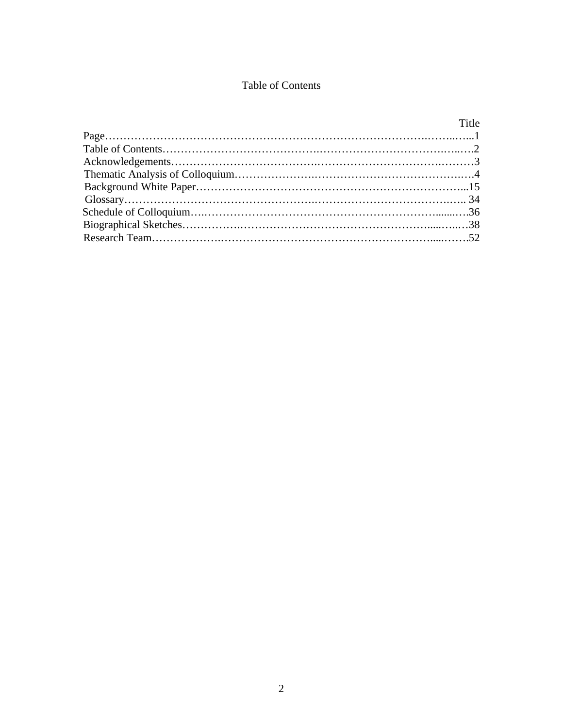# Table of Contents

| Title |
|-------|
|       |
|       |
|       |
|       |
|       |
|       |
|       |
|       |
|       |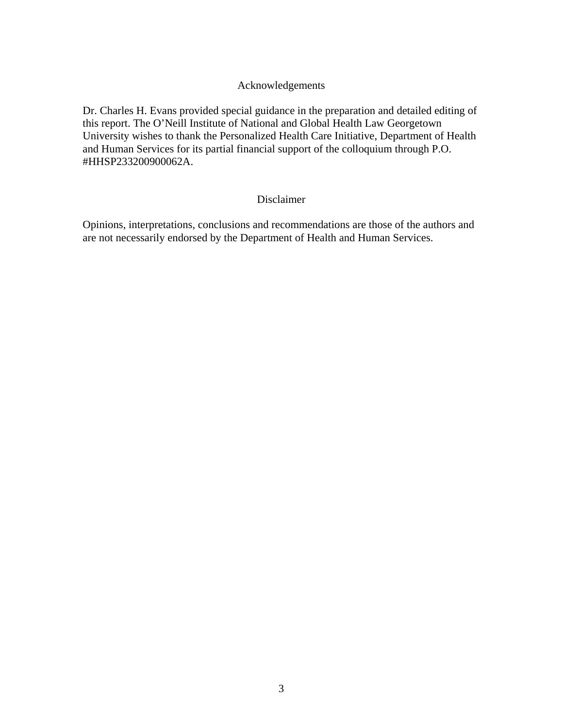### Acknowledgements

Dr. Charles H. Evans provided special guidance in the preparation and detailed editing of this report. The O'Neill Institute of National and Global Health Law Georgetown University wishes to thank the Personalized Health Care Initiative, Department of Health and Human Services for its partial financial support of the colloquium through P.O. #HHSP233200900062A.

#### Disclaimer

Opinions, interpretations, conclusions and recommendations are those of the authors and are not necessarily endorsed by the Department of Health and Human Services.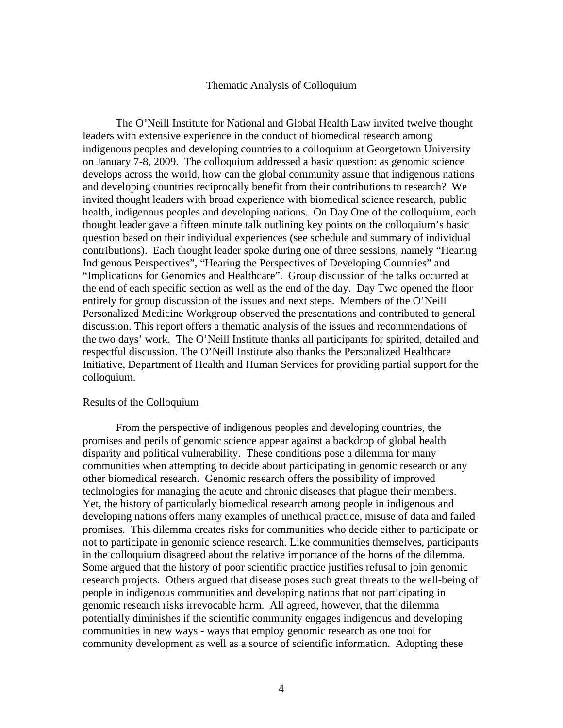#### Thematic Analysis of Colloquium

 The O'Neill Institute for National and Global Health Law invited twelve thought leaders with extensive experience in the conduct of biomedical research among indigenous peoples and developing countries to a colloquium at Georgetown University on January 7-8, 2009. The colloquium addressed a basic question: as genomic science develops across the world, how can the global community assure that indigenous nations and developing countries reciprocally benefit from their contributions to research? We invited thought leaders with broad experience with biomedical science research, public health, indigenous peoples and developing nations. On Day One of the colloquium, each thought leader gave a fifteen minute talk outlining key points on the colloquium's basic question based on their individual experiences (see schedule and summary of individual contributions). Each thought leader spoke during one of three sessions, namely "Hearing Indigenous Perspectives", "Hearing the Perspectives of Developing Countries" and "Implications for Genomics and Healthcare". Group discussion of the talks occurred at the end of each specific section as well as the end of the day. Day Two opened the floor entirely for group discussion of the issues and next steps. Members of the O'Neill Personalized Medicine Workgroup observed the presentations and contributed to general discussion. This report offers a thematic analysis of the issues and recommendations of the two days' work. The O'Neill Institute thanks all participants for spirited, detailed and respectful discussion. The O'Neill Institute also thanks the Personalized Healthcare Initiative, Department of Health and Human Services for providing partial support for the colloquium.

#### Results of the Colloquium

 From the perspective of indigenous peoples and developing countries, the promises and perils of genomic science appear against a backdrop of global health disparity and political vulnerability. These conditions pose a dilemma for many communities when attempting to decide about participating in genomic research or any other biomedical research. Genomic research offers the possibility of improved technologies for managing the acute and chronic diseases that plague their members. Yet, the history of particularly biomedical research among people in indigenous and developing nations offers many examples of unethical practice, misuse of data and failed promises. This dilemma creates risks for communities who decide either to participate or not to participate in genomic science research. Like communities themselves, participants in the colloquium disagreed about the relative importance of the horns of the dilemma. Some argued that the history of poor scientific practice justifies refusal to join genomic research projects. Others argued that disease poses such great threats to the well-being of people in indigenous communities and developing nations that not participating in genomic research risks irrevocable harm. All agreed, however, that the dilemma potentially diminishes if the scientific community engages indigenous and developing communities in new ways - ways that employ genomic research as one tool for community development as well as a source of scientific information. Adopting these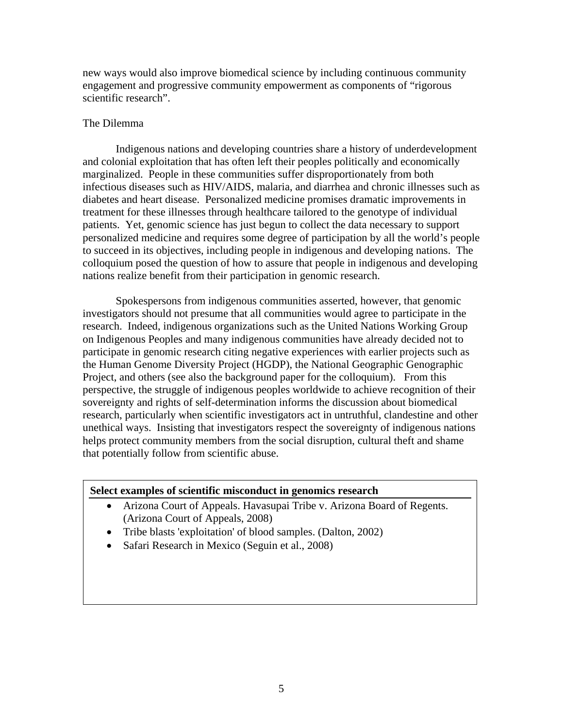new ways would also improve biomedical science by including continuous community engagement and progressive community empowerment as components of "rigorous scientific research".

#### The Dilemma

 Indigenous nations and developing countries share a history of underdevelopment and colonial exploitation that has often left their peoples politically and economically marginalized. People in these communities suffer disproportionately from both infectious diseases such as HIV/AIDS, malaria, and diarrhea and chronic illnesses such as diabetes and heart disease. Personalized medicine promises dramatic improvements in treatment for these illnesses through healthcare tailored to the genotype of individual patients. Yet, genomic science has just begun to collect the data necessary to support personalized medicine and requires some degree of participation by all the world's people to succeed in its objectives, including people in indigenous and developing nations. The colloquium posed the question of how to assure that people in indigenous and developing nations realize benefit from their participation in genomic research.

 Spokespersons from indigenous communities asserted, however, that genomic investigators should not presume that all communities would agree to participate in the research. Indeed, indigenous organizations such as the United Nations Working Group on Indigenous Peoples and many indigenous communities have already decided not to participate in genomic research citing negative experiences with earlier projects such as the Human Genome Diversity Project (HGDP), the National Geographic Genographic Project, and others (see also the background paper for the colloquium). From this perspective, the struggle of indigenous peoples worldwide to achieve recognition of their sovereignty and rights of self-determination informs the discussion about biomedical research, particularly when scientific investigators act in untruthful, clandestine and other unethical ways. Insisting that investigators respect the sovereignty of indigenous nations helps protect community members from the social disruption, cultural theft and shame that potentially follow from scientific abuse.

#### **Select examples of scientific misconduct in genomics research**

- Arizona Court of Appeals. Havasupai Tribe v. Arizona Board of Regents. (Arizona Court of Appeals, 2008)
- Tribe blasts 'exploitation' of blood samples. (Dalton, 2002)
- Safari Research in Mexico (Seguin et al., 2008)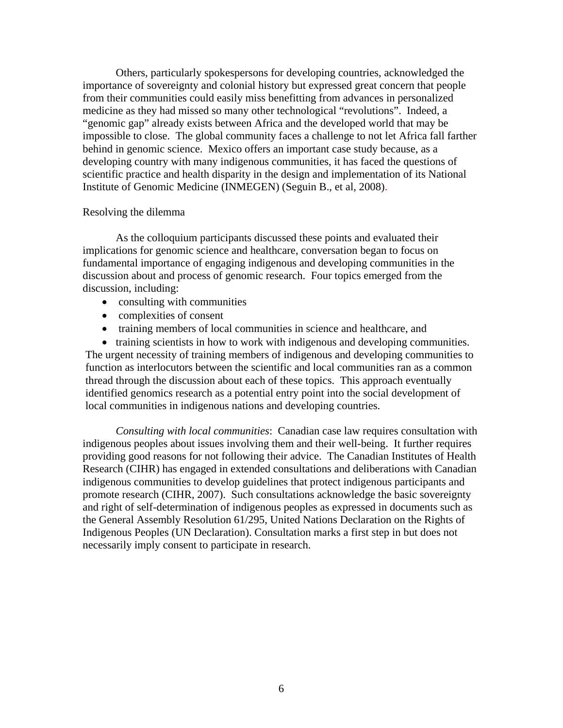Others, particularly spokespersons for developing countries, acknowledged the importance of sovereignty and colonial history but expressed great concern that people from their communities could easily miss benefitting from advances in personalized medicine as they had missed so many other technological "revolutions". Indeed, a "genomic gap" already exists between Africa and the developed world that may be impossible to close. The global community faces a challenge to not let Africa fall farther behind in genomic science. Mexico offers an important case study because, as a developing country with many indigenous communities, it has faced the questions of scientific practice and health disparity in the design and implementation of its National Institute of Genomic Medicine (INMEGEN) (Seguin B., et al, 2008).

#### Resolving the dilemma

 As the colloquium participants discussed these points and evaluated their implications for genomic science and healthcare, conversation began to focus on fundamental importance of engaging indigenous and developing communities in the discussion about and process of genomic research. Four topics emerged from the discussion, including:

- consulting with communities
- complexities of consent
- training members of local communities in science and healthcare, and

• training scientists in how to work with indigenous and developing communities. The urgent necessity of training members of indigenous and developing communities to function as interlocutors between the scientific and local communities ran as a common thread through the discussion about each of these topics. This approach eventually identified genomics research as a potential entry point into the social development of local communities in indigenous nations and developing countries.

*Consulting with local communities*: Canadian case law requires consultation with indigenous peoples about issues involving them and their well-being. It further requires providing good reasons for not following their advice. The Canadian Institutes of Health Research (CIHR) has engaged in extended consultations and deliberations with Canadian indigenous communities to develop guidelines that protect indigenous participants and promote research (CIHR, 2007). Such consultations acknowledge the basic sovereignty and right of self-determination of indigenous peoples as expressed in documents such as the General Assembly Resolution 61/295, United Nations Declaration on the Rights of Indigenous Peoples (UN Declaration). Consultation marks a first step in but does not necessarily imply consent to participate in research.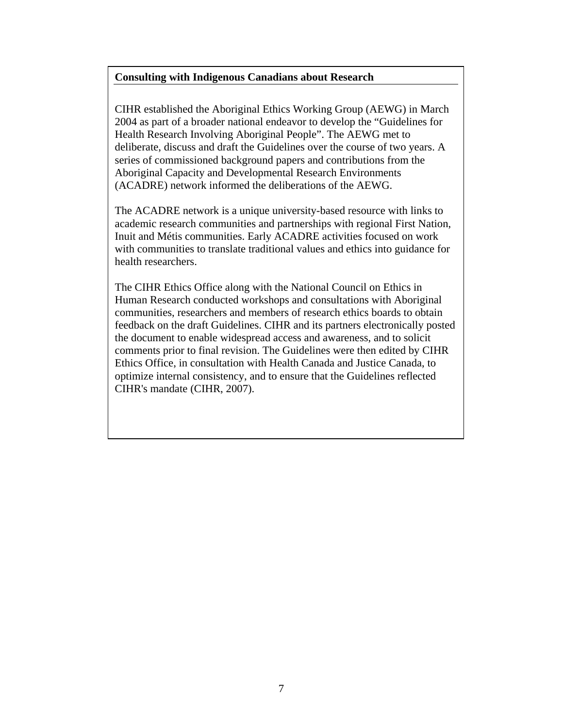### **Consulting with Indigenous Canadians about Research**

CIHR established the Aboriginal Ethics Working Group (AEWG) in March 2004 as part of a broader national endeavor to develop the "Guidelines for Health Research Involving Aboriginal People". The AEWG met to deliberate, discuss and draft the Guidelines over the course of two years. A series of commissioned background papers and contributions from the Aboriginal Capacity and Developmental Research Environments (ACADRE) network informed the deliberations of the AEWG.

The ACADRE network is a unique university-based resource with links to academic research communities and partnerships with regional First Nation, Inuit and Métis communities. Early ACADRE activities focused on work with communities to translate traditional values and ethics into guidance for health researchers.

The CIHR Ethics Office along with the National Council on Ethics in Human Research conducted workshops and consultations with Aboriginal communities, researchers and members of research ethics boards to obtain feedback on the draft Guidelines. CIHR and its partners electronically posted the document to enable widespread access and awareness, and to solicit comments prior to final revision. The Guidelines were then edited by CIHR Ethics Office, in consultation with Health Canada and Justice Canada, to optimize internal consistency, and to ensure that the Guidelines reflected CIHR's mandate (CIHR, 2007).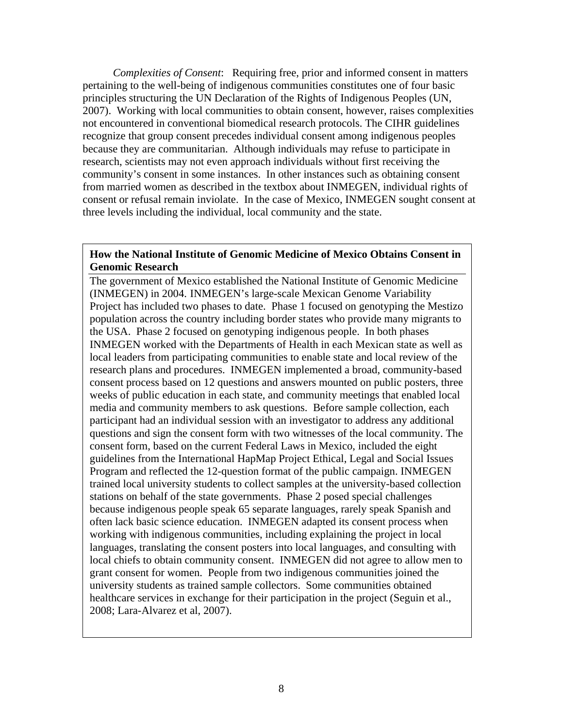*Complexities of Consent*: Requiring free, prior and informed consent in matters pertaining to the well-being of indigenous communities constitutes one of four basic principles structuring the UN Declaration of the Rights of Indigenous Peoples (UN, 2007). Working with local communities to obtain consent, however, raises complexities not encountered in conventional biomedical research protocols. The CIHR guidelines recognize that group consent precedes individual consent among indigenous peoples because they are communitarian. Although individuals may refuse to participate in research, scientists may not even approach individuals without first receiving the community's consent in some instances. In other instances such as obtaining consent from married women as described in the textbox about INMEGEN, individual rights of consent or refusal remain inviolate. In the case of Mexico, INMEGEN sought consent at three levels including the individual, local community and the state.

#### **How the National Institute of Genomic Medicine of Mexico Obtains Consent in Genomic Research**

 the USA. Phase 2 focused on genotyping indigenous people. In both phases The government of Mexico established the National Institute of Genomic Medicine (INMEGEN) in 2004. INMEGEN's large-scale Mexican Genome Variability Project has included two phases to date. Phase 1 focused on genotyping the Mestizo population across the country including border states who provide many migrants to INMEGEN worked with the Departments of Health in each Mexican state as well as local leaders from participating communities to enable state and local review of the research plans and procedures. INMEGEN implemented a broad, community-based consent process based on 12 questions and answers mounted on public posters, three weeks of public education in each state, and community meetings that enabled local media and community members to ask questions. Before sample collection, each participant had an individual session with an investigator to address any additional questions and sign the consent form with two witnesses of the local community. The consent form, based on the current Federal Laws in Mexico, included the eight guidelines from the International HapMap Project Ethical, Legal and Social Issues Program and reflected the 12-question format of the public campaign. INMEGEN trained local university students to collect samples at the university-based collection stations on behalf of the state governments. Phase 2 posed special challenges because indigenous people speak 65 separate languages, rarely speak Spanish and often lack basic science education. INMEGEN adapted its consent process when working with indigenous communities, including explaining the project in local languages, translating the consent posters into local languages, and consulting with local chiefs to obtain community consent. INMEGEN did not agree to allow men to grant consent for women. People from two indigenous communities joined the university students as trained sample collectors. Some communities obtained healthcare services in exchange for their participation in the project (Seguin et al., 2008; Lara-Alvarez et al, 2007).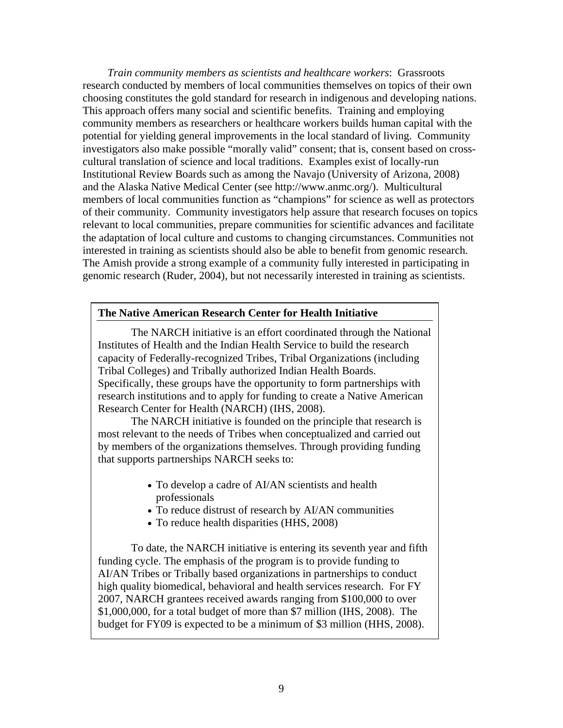*Train community members as scientists and healthcare workers*: Grassroots research conducted by members of local communities themselves on topics of their own choosing constitutes the gold standard for research in indigenous and developing nations. This approach offers many social and scientific benefits. Training and employing community members as researchers or healthcare workers builds human capital with the potential for yielding general improvements in the local standard of living. Community investigators also make possible "morally valid" consent; that is, consent based on crosscultural translation of science and local traditions. Examples exist of locally-run Institutional Review Boards such as among the Navajo (University of Arizona, 2008) and the Alaska Native Medical Center (see http://www.anmc.org/). Multicultural members of local communities function as "champions" for science as well as protectors of their community. Community investigators help assure that research focuses on topics relevant to local communities, prepare communities for scientific advances and facilitate the adaptation of local culture and customs to changing circumstances. Communities not interested in training as scientists should also be able to benefit from genomic research. The Amish provide a strong example of a community fully interested in participating in genomic research (Ruder, 2004), but not necessarily interested in training as scientists.

#### **The Native American Research Center for Health Initiative**

The NARCH initiative is an effort coordinated through the National Institutes of Health and the Indian Health Service to build the research capacity of Federally-recognized Tribes, Tribal Organizations (including Tribal Colleges) and Tribally authorized Indian Health Boards. Specifically, these groups have the opportunity to form partnerships with research institutions and to apply for funding to create a Native American Research Center for Health (NARCH) (IHS, 2008).

 The NARCH initiative is founded on the principle that research is most relevant to the needs of Tribes when conceptualized and carried out by members of the organizations themselves. Through providing funding that supports partnerships NARCH seeks to:

- To develop a cadre of AI/AN scientists and health professionals
- To reduce distrust of research by AI/AN communities
- To reduce health disparities (HHS, 2008)

To date, the NARCH initiative is entering its seventh year and fifth funding cycle. The emphasis of the program is to provide funding to AI/AN Tribes or Tribally based organizations in partnerships to conduct high quality biomedical, behavioral and health services research. For FY 2007, NARCH grantees received awards ranging from \$100,000 to over \$1,000,000, for a total budget of more than \$7 million (IHS, 2008). The budget for FY09 is expected to be a minimum of \$3 million (HHS, 2008).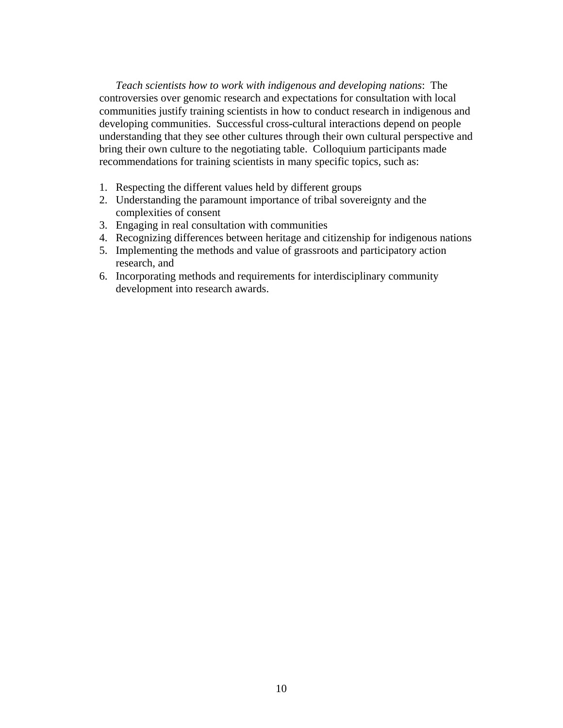*Teach scientists how to work with indigenous and developing nations*: The controversies over genomic research and expectations for consultation with local communities justify training scientists in how to conduct research in indigenous and developing communities. Successful cross-cultural interactions depend on people understanding that they see other cultures through their own cultural perspective and bring their own culture to the negotiating table. Colloquium participants made recommendations for training scientists in many specific topics, such as:

- 1. Respecting the different values held by different groups
- 2. Understanding the paramount importance of tribal sovereignty and the complexities of consent
- 3. Engaging in real consultation with communities
- 4. Recognizing differences between heritage and citizenship for indigenous nations
- 5. Implementing the methods and value of grassroots and participatory action research, and
- 6. Incorporating methods and requirements for interdisciplinary community development into research awards.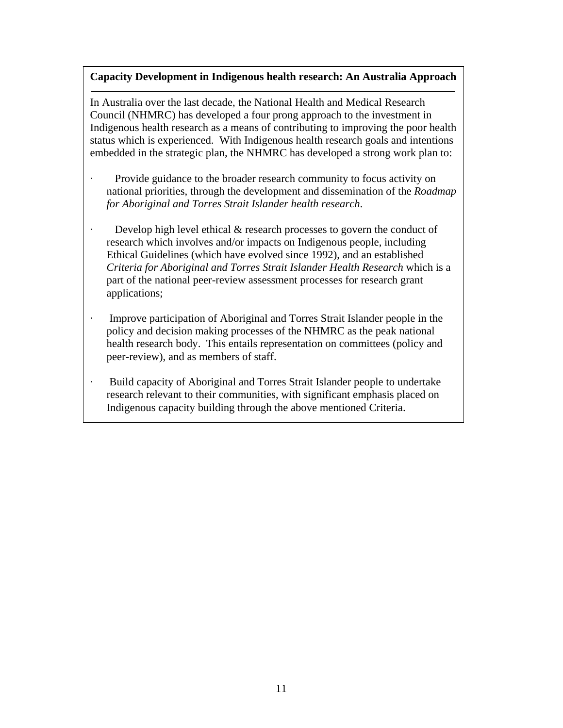### **Capacity Development in Indigenous health research: An Australia Approach**

In Australia over the last decade, the National Health and Medical Research Council (NHMRC) has developed a four prong approach to the investment in Indigenous health research as a means of contributing to improving the poor health status which is experienced. With Indigenous health research goals and intentions embedded in the strategic plan, the NHMRC has developed a strong work plan to:

- Provide guidance to the broader research community to focus activity on national priorities, through the development and dissemination of the *Roadmap for Aboriginal and Torres Strait Islander health research*.
- · Develop high level ethical & research processes to govern the conduct of research which involves and/or impacts on Indigenous people, including Ethical Guidelines (which have evolved since 1992), and an established *Criteria for Aboriginal and Torres Strait Islander Health Research* which is a part of the national peer-review assessment processes for research grant applications;
- · Improve participation of Aboriginal and Torres Strait Islander people in the policy and decision making processes of the NHMRC as the peak national health research body. This entails representation on committees (policy and peer-review), and as members of staff.
- · Build capacity of Aboriginal and Torres Strait Islander people to undertake research relevant to their communities, with significant emphasis placed on Indigenous capacity building through the above mentioned Criteria.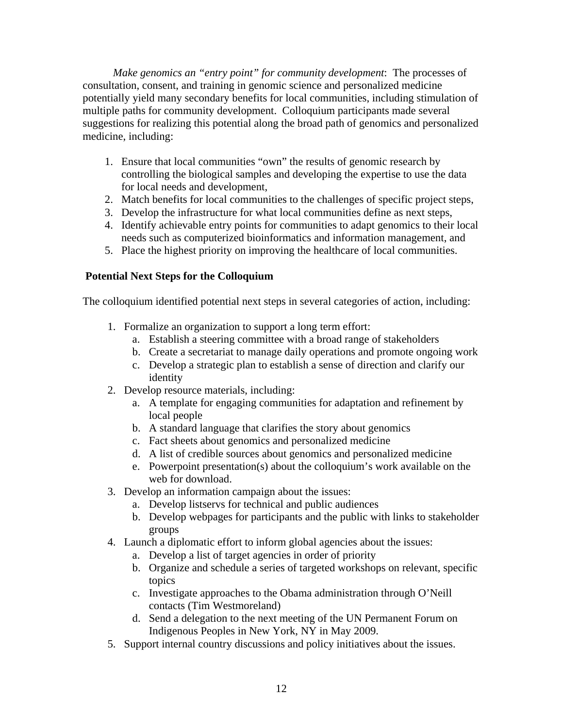*Make genomics an "entry point" for community development*: The processes of consultation, consent, and training in genomic science and personalized medicine potentially yield many secondary benefits for local communities, including stimulation of multiple paths for community development. Colloquium participants made several suggestions for realizing this potential along the broad path of genomics and personalized medicine, including:

- 1. Ensure that local communities "own" the results of genomic research by controlling the biological samples and developing the expertise to use the data for local needs and development,
- 2. Match benefits for local communities to the challenges of specific project steps,
- 3. Develop the infrastructure for what local communities define as next steps,
- 4. Identify achievable entry points for communities to adapt genomics to their local needs such as computerized bioinformatics and information management, and
- 5. Place the highest priority on improving the healthcare of local communities.

### **Potential Next Steps for the Colloquium**

The colloquium identified potential next steps in several categories of action, including:

- 1. Formalize an organization to support a long term effort:
	- a. Establish a steering committee with a broad range of stakeholders
	- b. Create a secretariat to manage daily operations and promote ongoing work
	- c. Develop a strategic plan to establish a sense of direction and clarify our identity
- 2. Develop resource materials, including:
	- a. A template for engaging communities for adaptation and refinement by local people
	- b. A standard language that clarifies the story about genomics
	- c. Fact sheets about genomics and personalized medicine
	- d. A list of credible sources about genomics and personalized medicine
	- e. Powerpoint presentation(s) about the colloquium's work available on the web for download.
- 3. Develop an information campaign about the issues:
	- a. Develop listservs for technical and public audiences
	- b. Develop webpages for participants and the public with links to stakeholder groups
- 4. Launch a diplomatic effort to inform global agencies about the issues:
	- a. Develop a list of target agencies in order of priority
	- b. Organize and schedule a series of targeted workshops on relevant, specific topics
	- c. Investigate approaches to the Obama administration through O'Neill contacts (Tim Westmoreland)
	- d. Send a delegation to the next meeting of the UN Permanent Forum on Indigenous Peoples in New York, NY in May 2009.
- 5. Support internal country discussions and policy initiatives about the issues.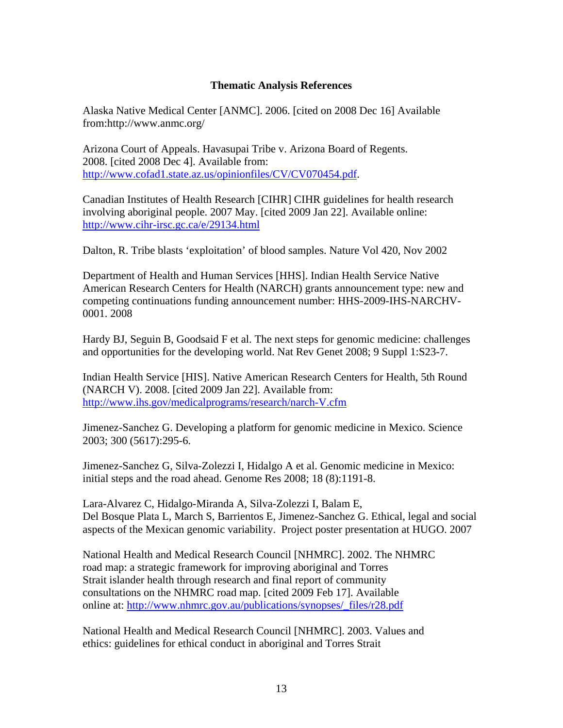### **Thematic Analysis References**

Alaska Native Medical Center [ANMC]. 2006. [cited on 2008 Dec 16] Available from:http://www.anmc.org/

Arizona Court of Appeals. Havasupai Tribe v. Arizona Board of Regents. 2008. [cited 2008 Dec 4]. Available from: http://www.cofad1.state.az.us/opinionfiles/CV/CV070454.pdf.

Canadian Institutes of Health Research [CIHR] CIHR guidelines for health research involving aboriginal people. 2007 May. [cited 2009 Jan 22]. Available online: http://www.cihr-irsc.gc.ca/e/29134.html

Dalton, R. Tribe blasts 'exploitation' of blood samples. Nature Vol 420, Nov 2002

Department of Health and Human Services [HHS]. Indian Health Service Native American Research Centers for Health (NARCH) grants announcement type: new and competing continuations funding announcement number: HHS-2009-IHS-NARCHV-0001. 2008

Hardy BJ, Seguin B, Goodsaid F et al. The next steps for genomic medicine: challenges and opportunities for the developing world. Nat Rev Genet 2008; 9 Suppl 1:S23-7.

Indian Health Service [HIS]. Native American Research Centers for Health, 5th Round (NARCH V). 2008. [cited 2009 Jan 22]. Available from: http://www.ihs.gov/medicalprograms/research/narch-V.cfm

Jimenez-Sanchez G. Developing a platform for genomic medicine in Mexico. Science 2003; 300 (5617):295-6.

Jimenez-Sanchez G, Silva-Zolezzi I, Hidalgo A et al. Genomic medicine in Mexico: initial steps and the road ahead. Genome Res 2008; 18 (8):1191-8.

Lara-Alvarez C, Hidalgo-Miranda A, Silva-Zolezzi I, Balam E, Del Bosque Plata L, March S, Barrientos E, Jimenez-Sanchez G. Ethical, legal and social aspects of the Mexican genomic variability. Project poster presentation at HUGO. 2007

National Health and Medical Research Council [NHMRC]. 2002. The NHMRC road map: a strategic framework for improving aboriginal and Torres Strait islander health through research and final report of community consultations on the NHMRC road map. [cited 2009 Feb 17]. Available online at: http://www.nhmrc.gov.au/publications/synopses/\_files/r28.pdf

National Health and Medical Research Council [NHMRC]. 2003. Values and ethics: guidelines for ethical conduct in aboriginal and Torres Strait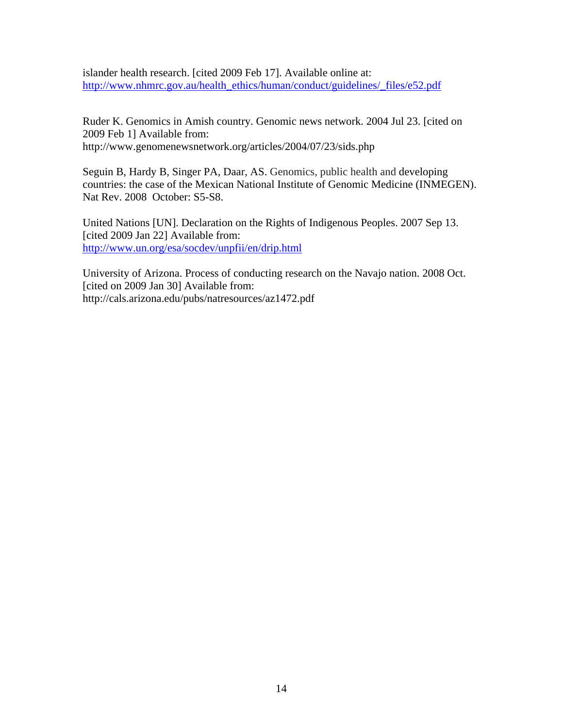islander health research. [cited 2009 Feb 17]. Available online at: http://www.nhmrc.gov.au/health\_ethics/human/conduct/guidelines/\_files/e52.pdf

Ruder K. Genomics in Amish country. Genomic news network. 2004 Jul 23. [cited on 2009 Feb 1] Available from: http://www.genomenewsnetwork.org/articles/2004/07/23/sids.php

Seguin B, Hardy B, Singer PA, Daar, AS. Genomics, public health and developing countries: the case of the Mexican National Institute of Genomic Medicine (INMEGEN). Nat Rev. 2008 October: S5-S8.

United Nations [UN]. Declaration on the Rights of Indigenous Peoples. 2007 Sep 13. [cited 2009 Jan 22] Available from: http://www.un.org/esa/socdev/unpfii/en/drip.html

University of Arizona. Process of conducting research on the Navajo nation. 2008 Oct. [cited on 2009 Jan 30] Available from: http://cals.arizona.edu/pubs/natresources/az1472.pdf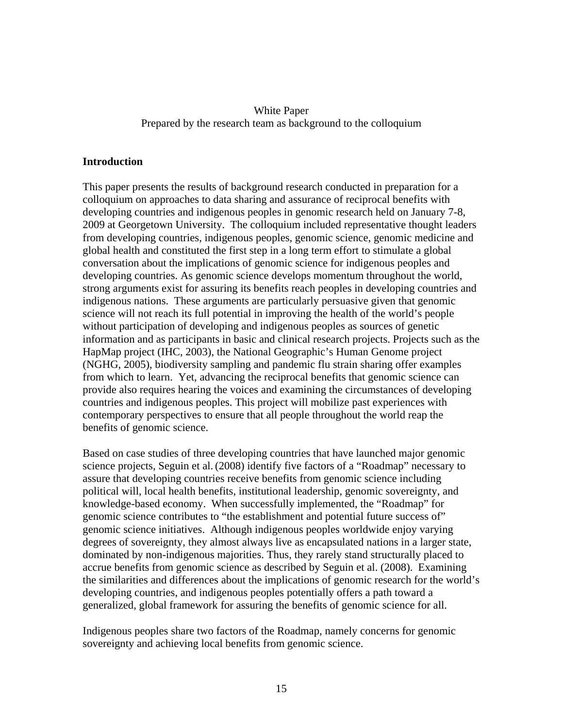## White Paper Prepared by the research team as background to the colloquium

### **Introduction**

This paper presents the results of background research conducted in preparation for a colloquium on approaches to data sharing and assurance of reciprocal benefits with developing countries and indigenous peoples in genomic research held on January 7-8, 2009 at Georgetown University. The colloquium included representative thought leaders from developing countries, indigenous peoples, genomic science, genomic medicine and global health and constituted the first step in a long term effort to stimulate a global conversation about the implications of genomic science for indigenous peoples and developing countries. As genomic science develops momentum throughout the world, strong arguments exist for assuring its benefits reach peoples in developing countries and indigenous nations. These arguments are particularly persuasive given that genomic science will not reach its full potential in improving the health of the world's people without participation of developing and indigenous peoples as sources of genetic information and as participants in basic and clinical research projects. Projects such as the HapMap project (IHC, 2003), the National Geographic's Human Genome project (NGHG, 2005), biodiversity sampling and pandemic flu strain sharing offer examples from which to learn. Yet, advancing the reciprocal benefits that genomic science can provide also requires hearing the voices and examining the circumstances of developing countries and indigenous peoples. This project will mobilize past experiences with contemporary perspectives to ensure that all people throughout the world reap the benefits of genomic science.

Based on case studies of three developing countries that have launched major genomic science projects, Seguin et al.(2008) identify five factors of a "Roadmap" necessary to assure that developing countries receive benefits from genomic science including political will, local health benefits, institutional leadership, genomic sovereignty, and knowledge-based economy. When successfully implemented, the "Roadmap" for genomic science contributes to "the establishment and potential future success of" genomic science initiatives. Although indigenous peoples worldwide enjoy varying degrees of sovereignty, they almost always live as encapsulated nations in a larger state, dominated by non-indigenous majorities. Thus, they rarely stand structurally placed to accrue benefits from genomic science as described by Seguin et al. (2008). Examining the similarities and differences about the implications of genomic research for the world's developing countries, and indigenous peoples potentially offers a path toward a generalized, global framework for assuring the benefits of genomic science for all.

Indigenous peoples share two factors of the Roadmap, namely concerns for genomic sovereignty and achieving local benefits from genomic science.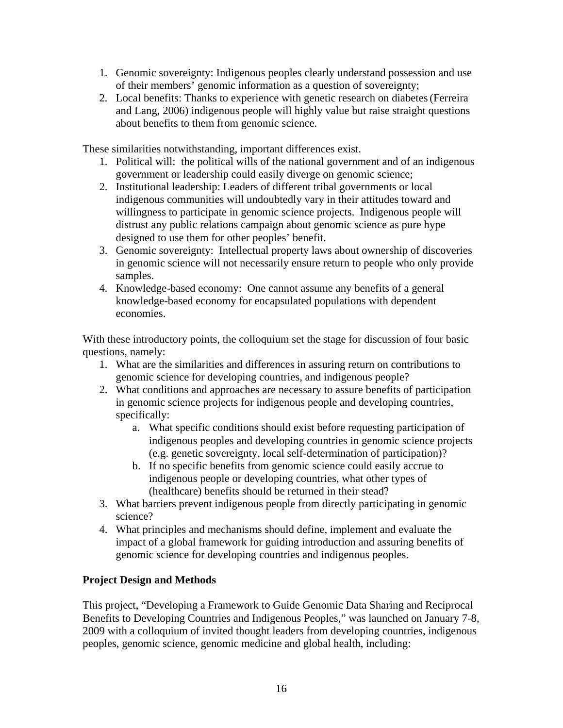- 1. Genomic sovereignty: Indigenous peoples clearly understand possession and use of their members' genomic information as a question of sovereignty;
- 2. Local benefits: Thanks to experience with genetic research on diabetes(Ferreira and Lang, 2006) indigenous people will highly value but raise straight questions about benefits to them from genomic science.

These similarities notwithstanding, important differences exist.

- 1. Political will: the political wills of the national government and of an indigenous government or leadership could easily diverge on genomic science;
- 2. Institutional leadership: Leaders of different tribal governments or local indigenous communities will undoubtedly vary in their attitudes toward and willingness to participate in genomic science projects. Indigenous people will distrust any public relations campaign about genomic science as pure hype designed to use them for other peoples' benefit.
- 3. Genomic sovereignty: Intellectual property laws about ownership of discoveries in genomic science will not necessarily ensure return to people who only provide samples.
- 4. Knowledge-based economy: One cannot assume any benefits of a general knowledge-based economy for encapsulated populations with dependent economies.

With these introductory points, the colloquium set the stage for discussion of four basic questions, namely:

- 1. What are the similarities and differences in assuring return on contributions to genomic science for developing countries, and indigenous people?
- 2. What conditions and approaches are necessary to assure benefits of participation in genomic science projects for indigenous people and developing countries, specifically:
	- a. What specific conditions should exist before requesting participation of indigenous peoples and developing countries in genomic science projects (e.g. genetic sovereignty, local self-determination of participation)?
	- b. If no specific benefits from genomic science could easily accrue to indigenous people or developing countries, what other types of (healthcare) benefits should be returned in their stead?
- 3. What barriers prevent indigenous people from directly participating in genomic science?
- 4. What principles and mechanisms should define, implement and evaluate the impact of a global framework for guiding introduction and assuring benefits of genomic science for developing countries and indigenous peoples.

## **Project Design and Methods**

This project, "Developing a Framework to Guide Genomic Data Sharing and Reciprocal Benefits to Developing Countries and Indigenous Peoples," was launched on January 7-8, 2009 with a colloquium of invited thought leaders from developing countries, indigenous peoples, genomic science, genomic medicine and global health, including: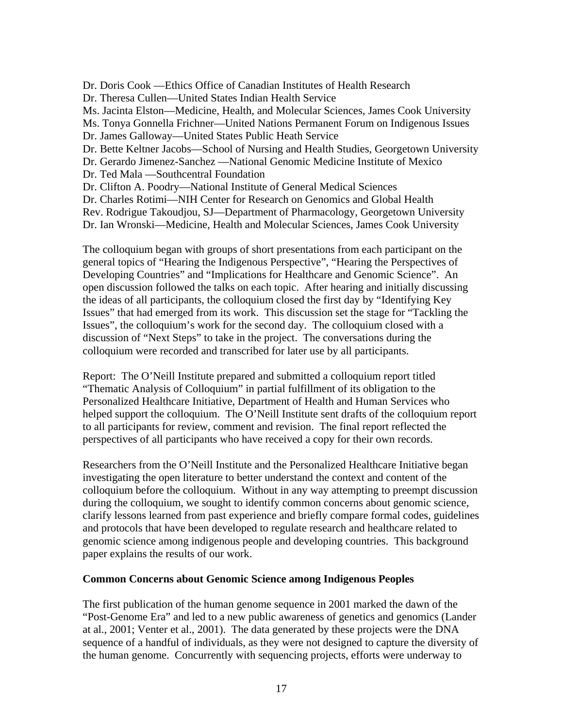Dr. Doris Cook —Ethics Office of Canadian Institutes of Health Research

Dr. Theresa Cullen—United States Indian Health Service

Ms. Jacinta Elston—Medicine, Health, and Molecular Sciences, James Cook University

Ms. Tonya Gonnella Frichner—United Nations Permanent Forum on Indigenous Issues

Dr. James Galloway—United States Public Heath Service

Dr. Bette Keltner Jacobs—School of Nursing and Health Studies, Georgetown University

Dr. Gerardo Jimenez-Sanchez —National Genomic Medicine Institute of Mexico

Dr. Ted Mala —Southcentral Foundation

Dr. Clifton A. Poodry—National Institute of General Medical Sciences

Dr. Charles Rotimi—NIH Center for Research on Genomics and Global Health

Rev. Rodrigue Takoudjou, SJ—Department of Pharmacology, Georgetown University

Dr. Ian Wronski—Medicine, Health and Molecular Sciences, James Cook University

The colloquium began with groups of short presentations from each participant on the general topics of "Hearing the Indigenous Perspective", "Hearing the Perspectives of Developing Countries" and "Implications for Healthcare and Genomic Science". An open discussion followed the talks on each topic. After hearing and initially discussing the ideas of all participants, the colloquium closed the first day by "Identifying Key Issues" that had emerged from its work. This discussion set the stage for "Tackling the Issues", the colloquium's work for the second day. The colloquium closed with a discussion of "Next Steps" to take in the project. The conversations during the colloquium were recorded and transcribed for later use by all participants.

Report: The O'Neill Institute prepared and submitted a colloquium report titled "Thematic Analysis of Colloquium" in partial fulfillment of its obligation to the Personalized Healthcare Initiative, Department of Health and Human Services who helped support the colloquium. The O'Neill Institute sent drafts of the colloquium report to all participants for review, comment and revision. The final report reflected the perspectives of all participants who have received a copy for their own records.

Researchers from the O'Neill Institute and the Personalized Healthcare Initiative began investigating the open literature to better understand the context and content of the colloquium before the colloquium. Without in any way attempting to preempt discussion during the colloquium, we sought to identify common concerns about genomic science, clarify lessons learned from past experience and briefly compare formal codes, guidelines and protocols that have been developed to regulate research and healthcare related to genomic science among indigenous people and developing countries. This background paper explains the results of our work.

## **Common Concerns about Genomic Science among Indigenous Peoples**

The first publication of the human genome sequence in 2001 marked the dawn of the "Post-Genome Era" and led to a new public awareness of genetics and genomics (Lander at al., 2001; Venter et al., 2001). The data generated by these projects were the DNA sequence of a handful of individuals, as they were not designed to capture the diversity of the human genome. Concurrently with sequencing projects, efforts were underway to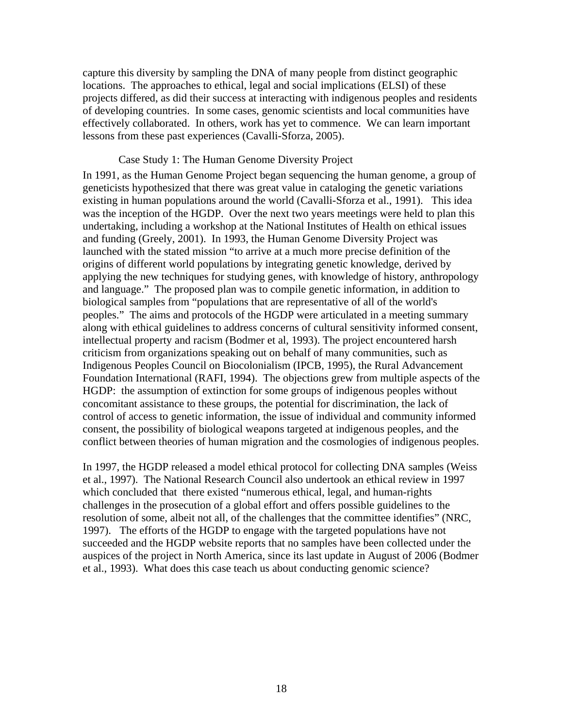capture this diversity by sampling the DNA of many people from distinct geographic locations. The approaches to ethical, legal and social implications (ELSI) of these projects differed, as did their success at interacting with indigenous peoples and residents of developing countries. In some cases, genomic scientists and local communities have effectively collaborated. In others, work has yet to commence. We can learn important lessons from these past experiences (Cavalli-Sforza, 2005).

#### Case Study 1: The Human Genome Diversity Project

In 1991, as the Human Genome Project began sequencing the human genome, a group of geneticists hypothesized that there was great value in cataloging the genetic variations existing in human populations around the world (Cavalli-Sforza et al., 1991). This idea was the inception of the HGDP. Over the next two years meetings were held to plan this undertaking, including a workshop at the National Institutes of Health on ethical issues and funding (Greely, 2001). In 1993, the Human Genome Diversity Project was launched with the stated mission "to arrive at a much more precise definition of the origins of different world populations by integrating genetic knowledge, derived by applying the new techniques for studying genes, with knowledge of history, anthropology and language." The proposed plan was to compile genetic information, in addition to biological samples from "populations that are representative of all of the world's peoples." The aims and protocols of the HGDP were articulated in a meeting summary along with ethical guidelines to address concerns of cultural sensitivity informed consent, intellectual property and racism (Bodmer et al, 1993). The project encountered harsh criticism from organizations speaking out on behalf of many communities, such as Indigenous Peoples Council on Biocolonialism (IPCB, 1995), the Rural Advancement Foundation International (RAFI, 1994). The objections grew from multiple aspects of the HGDP: the assumption of extinction for some groups of indigenous peoples without concomitant assistance to these groups, the potential for discrimination, the lack of control of access to genetic information, the issue of individual and community informed consent, the possibility of biological weapons targeted at indigenous peoples, and the conflict between theories of human migration and the cosmologies of indigenous peoples.

In 1997, the HGDP released a model ethical protocol for collecting DNA samples (Weiss et al., 1997). The National Research Council also undertook an ethical review in 1997 which concluded that there existed "numerous ethical, legal, and human-rights challenges in the prosecution of a global effort and offers possible guidelines to the resolution of some, albeit not all, of the challenges that the committee identifies" (NRC, 1997). The efforts of the HGDP to engage with the targeted populations have not succeeded and the HGDP website reports that no samples have been collected under the auspices of the project in North America, since its last update in August of 2006 (Bodmer et al., 1993). What does this case teach us about conducting genomic science?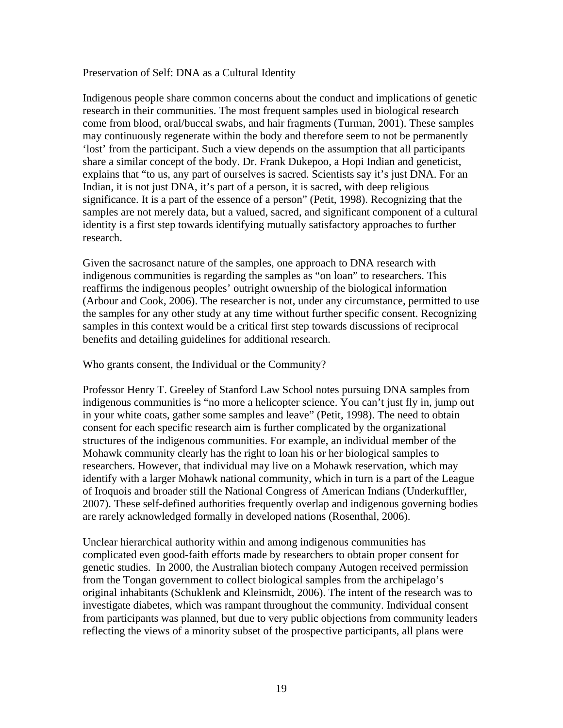#### Preservation of Self: DNA as a Cultural Identity

Indigenous people share common concerns about the conduct and implications of genetic research in their communities. The most frequent samples used in biological research come from blood, oral/buccal swabs, and hair fragments (Turman, 2001). These samples may continuously regenerate within the body and therefore seem to not be permanently 'lost' from the participant. Such a view depends on the assumption that all participants share a similar concept of the body. Dr. Frank Dukepoo, a Hopi Indian and geneticist, explains that "to us, any part of ourselves is sacred. Scientists say it's just DNA. For an Indian, it is not just DNA, it's part of a person, it is sacred, with deep religious significance. It is a part of the essence of a person" (Petit, 1998). Recognizing that the samples are not merely data, but a valued, sacred, and significant component of a cultural identity is a first step towards identifying mutually satisfactory approaches to further research.

Given the sacrosanct nature of the samples, one approach to DNA research with indigenous communities is regarding the samples as "on loan" to researchers. This reaffirms the indigenous peoples' outright ownership of the biological information (Arbour and Cook, 2006). The researcher is not, under any circumstance, permitted to use the samples for any other study at any time without further specific consent. Recognizing samples in this context would be a critical first step towards discussions of reciprocal benefits and detailing guidelines for additional research.

Who grants consent, the Individual or the Community?

Professor Henry T. Greeley of Stanford Law School notes pursuing DNA samples from indigenous communities is "no more a helicopter science. You can't just fly in, jump out in your white coats, gather some samples and leave" (Petit, 1998). The need to obtain consent for each specific research aim is further complicated by the organizational structures of the indigenous communities. For example, an individual member of the Mohawk community clearly has the right to loan his or her biological samples to researchers. However, that individual may live on a Mohawk reservation, which may identify with a larger Mohawk national community, which in turn is a part of the League of Iroquois and broader still the National Congress of American Indians (Underkuffler, 2007). These self-defined authorities frequently overlap and indigenous governing bodies are rarely acknowledged formally in developed nations (Rosenthal, 2006).

Unclear hierarchical authority within and among indigenous communities has complicated even good-faith efforts made by researchers to obtain proper consent for genetic studies. In 2000, the Australian biotech company Autogen received permission from the Tongan government to collect biological samples from the archipelago's original inhabitants (Schuklenk and Kleinsmidt, 2006). The intent of the research was to investigate diabetes, which was rampant throughout the community. Individual consent from participants was planned, but due to very public objections from community leaders reflecting the views of a minority subset of the prospective participants, all plans were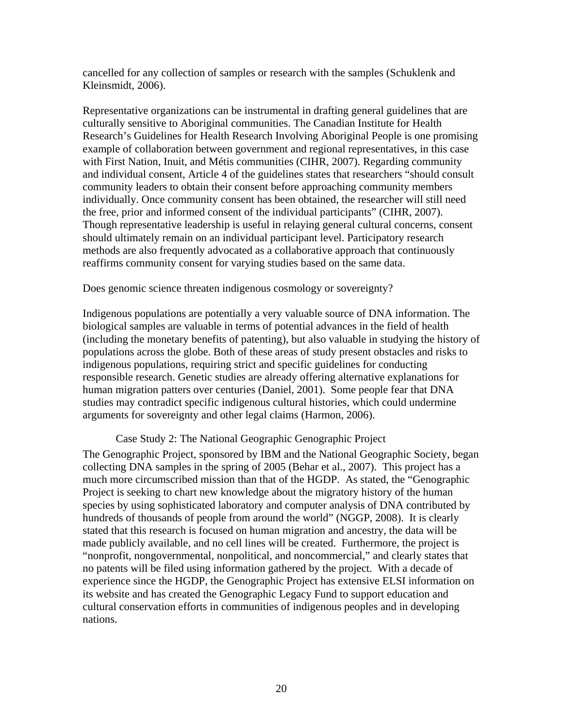cancelled for any collection of samples or research with the samples (Schuklenk and Kleinsmidt, 2006).

Representative organizations can be instrumental in drafting general guidelines that are culturally sensitive to Aboriginal communities. The Canadian Institute for Health Research's Guidelines for Health Research Involving Aboriginal People is one promising example of collaboration between government and regional representatives, in this case with First Nation, Inuit, and Métis communities (CIHR, 2007). Regarding community and individual consent, Article 4 of the guidelines states that researchers "should consult community leaders to obtain their consent before approaching community members individually. Once community consent has been obtained, the researcher will still need the free, prior and informed consent of the individual participants" (CIHR, 2007). Though representative leadership is useful in relaying general cultural concerns, consent should ultimately remain on an individual participant level. Participatory research methods are also frequently advocated as a collaborative approach that continuously reaffirms community consent for varying studies based on the same data.

Does genomic science threaten indigenous cosmology or sovereignty?

Indigenous populations are potentially a very valuable source of DNA information. The biological samples are valuable in terms of potential advances in the field of health (including the monetary benefits of patenting), but also valuable in studying the history of populations across the globe. Both of these areas of study present obstacles and risks to indigenous populations, requiring strict and specific guidelines for conducting responsible research. Genetic studies are already offering alternative explanations for human migration patters over centuries (Daniel, 2001). Some people fear that DNA studies may contradict specific indigenous cultural histories, which could undermine arguments for sovereignty and other legal claims (Harmon, 2006).

#### Case Study 2: The National Geographic Genographic Project

The Genographic Project, sponsored by IBM and the National Geographic Society, began collecting DNA samples in the spring of 2005 (Behar et al., 2007). This project has a much more circumscribed mission than that of the HGDP. As stated, the "Genographic Project is seeking to chart new knowledge about the migratory history of the human species by using sophisticated laboratory and computer analysis of DNA contributed by hundreds of thousands of people from around the world" (NGGP, 2008). It is clearly stated that this research is focused on human migration and ancestry, the data will be made publicly available, and no cell lines will be created. Furthermore, the project is "nonprofit, nongovernmental, nonpolitical, and noncommercial," and clearly states that no patents will be filed using information gathered by the project. With a decade of experience since the HGDP, the Genographic Project has extensive ELSI information on its website and has created the Genographic Legacy Fund to support education and cultural conservation efforts in communities of indigenous peoples and in developing nations.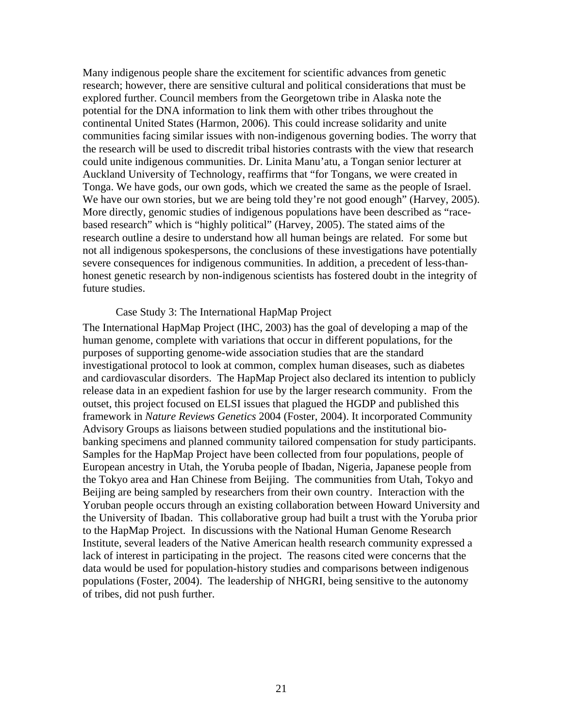Many indigenous people share the excitement for scientific advances from genetic research; however, there are sensitive cultural and political considerations that must be explored further. Council members from the Georgetown tribe in Alaska note the potential for the DNA information to link them with other tribes throughout the continental United States (Harmon, 2006). This could increase solidarity and unite communities facing similar issues with non-indigenous governing bodies. The worry that the research will be used to discredit tribal histories contrasts with the view that research could unite indigenous communities. Dr. Linita Manu'atu, a Tongan senior lecturer at Auckland University of Technology, reaffirms that "for Tongans, we were created in Tonga. We have gods, our own gods, which we created the same as the people of Israel. We have our own stories, but we are being told they're not good enough" (Harvey, 2005). More directly, genomic studies of indigenous populations have been described as "racebased research" which is "highly political" (Harvey, 2005). The stated aims of the research outline a desire to understand how all human beings are related. For some but not all indigenous spokespersons, the conclusions of these investigations have potentially severe consequences for indigenous communities. In addition, a precedent of less-thanhonest genetic research by non-indigenous scientists has fostered doubt in the integrity of future studies.

#### Case Study 3: The International HapMap Project

The International HapMap Project (IHC, 2003) has the goal of developing a map of the human genome, complete with variations that occur in different populations, for the purposes of supporting genome-wide association studies that are the standard investigational protocol to look at common, complex human diseases, such as diabetes and cardiovascular disorders. The HapMap Project also declared its intention to publicly release data in an expedient fashion for use by the larger research community. From the outset, this project focused on ELSI issues that plagued the HGDP and published this framework in *Nature Reviews Genetics* 2004 (Foster, 2004). It incorporated Community Advisory Groups as liaisons between studied populations and the institutional biobanking specimens and planned community tailored compensation for study participants. Samples for the HapMap Project have been collected from four populations, people of European ancestry in Utah, the Yoruba people of Ibadan, Nigeria, Japanese people from the Tokyo area and Han Chinese from Beijing. The communities from Utah, Tokyo and Beijing are being sampled by researchers from their own country. Interaction with the Yoruban people occurs through an existing collaboration between Howard University and the University of Ibadan. This collaborative group had built a trust with the Yoruba prior to the HapMap Project. In discussions with the National Human Genome Research Institute, several leaders of the Native American health research community expressed a lack of interest in participating in the project. The reasons cited were concerns that the data would be used for population-history studies and comparisons between indigenous populations (Foster, 2004). The leadership of NHGRI, being sensitive to the autonomy of tribes, did not push further.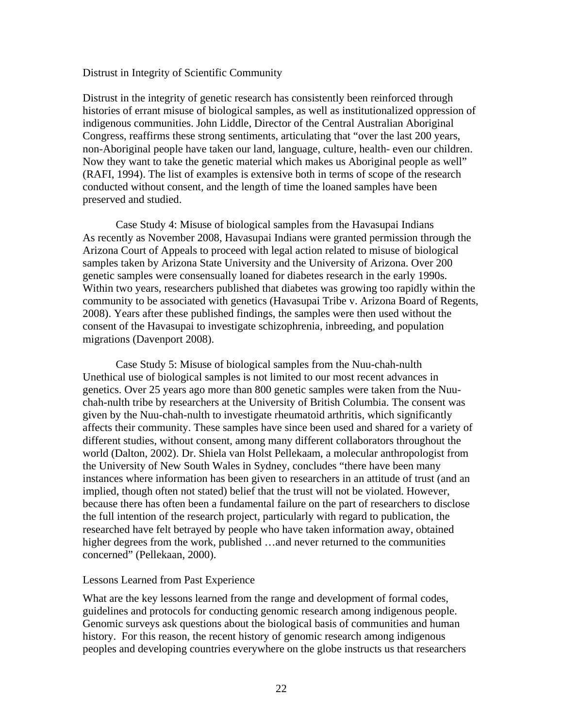#### Distrust in Integrity of Scientific Community

Distrust in the integrity of genetic research has consistently been reinforced through histories of errant misuse of biological samples, as well as institutionalized oppression of indigenous communities. John Liddle, Director of the Central Australian Aboriginal Congress, reaffirms these strong sentiments, articulating that "over the last 200 years, non-Aboriginal people have taken our land, language, culture, health- even our children. Now they want to take the genetic material which makes us Aboriginal people as well" (RAFI, 1994). The list of examples is extensive both in terms of scope of the research conducted without consent, and the length of time the loaned samples have been preserved and studied.

Case Study 4: Misuse of biological samples from the Havasupai Indians As recently as November 2008, Havasupai Indians were granted permission through the Arizona Court of Appeals to proceed with legal action related to misuse of biological samples taken by Arizona State University and the University of Arizona. Over 200 genetic samples were consensually loaned for diabetes research in the early 1990s. Within two years, researchers published that diabetes was growing too rapidly within the community to be associated with genetics (Havasupai Tribe v. Arizona Board of Regents, 2008). Years after these published findings, the samples were then used without the consent of the Havasupai to investigate schizophrenia, inbreeding, and population migrations (Davenport 2008).

Case Study 5: Misuse of biological samples from the Nuu-chah-nulth Unethical use of biological samples is not limited to our most recent advances in genetics. Over 25 years ago more than 800 genetic samples were taken from the Nuuchah-nulth tribe by researchers at the University of British Columbia. The consent was given by the Nuu-chah-nulth to investigate rheumatoid arthritis, which significantly affects their community. These samples have since been used and shared for a variety of different studies, without consent, among many different collaborators throughout the world (Dalton, 2002). Dr. Shiela van Holst Pellekaam, a molecular anthropologist from the University of New South Wales in Sydney, concludes "there have been many instances where information has been given to researchers in an attitude of trust (and an implied, though often not stated) belief that the trust will not be violated. However, because there has often been a fundamental failure on the part of researchers to disclose the full intention of the research project, particularly with regard to publication, the researched have felt betrayed by people who have taken information away, obtained higher degrees from the work, published ... and never returned to the communities concerned" (Pellekaan, 2000).

#### Lessons Learned from Past Experience

What are the key lessons learned from the range and development of formal codes, guidelines and protocols for conducting genomic research among indigenous people. Genomic surveys ask questions about the biological basis of communities and human history. For this reason, the recent history of genomic research among indigenous peoples and developing countries everywhere on the globe instructs us that researchers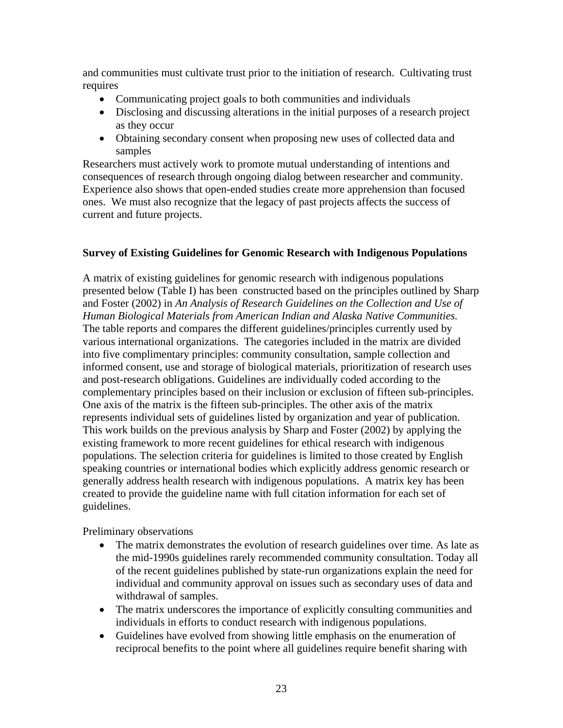and communities must cultivate trust prior to the initiation of research. Cultivating trust requires

- Communicating project goals to both communities and individuals
- Disclosing and discussing alterations in the initial purposes of a research project as they occur
- Obtaining secondary consent when proposing new uses of collected data and samples

Researchers must actively work to promote mutual understanding of intentions and consequences of research through ongoing dialog between researcher and community. Experience also shows that open-ended studies create more apprehension than focused ones. We must also recognize that the legacy of past projects affects the success of current and future projects.

### **Survey of Existing Guidelines for Genomic Research with Indigenous Populations**

A matrix of existing guidelines for genomic research with indigenous populations presented below (Table I) has been constructed based on the principles outlined by Sharp and Foster (2002) in *An Analysis of Research Guidelines on the Collection and Use of Human Biological Materials from American Indian and Alaska Native Communities.*  The table reports and compares the different guidelines/principles currently used by various international organizations. The categories included in the matrix are divided into five complimentary principles: community consultation, sample collection and informed consent, use and storage of biological materials, prioritization of research uses and post-research obligations. Guidelines are individually coded according to the complementary principles based on their inclusion or exclusion of fifteen sub-principles. One axis of the matrix is the fifteen sub-principles. The other axis of the matrix represents individual sets of guidelines listed by organization and year of publication. This work builds on the previous analysis by Sharp and Foster (2002) by applying the existing framework to more recent guidelines for ethical research with indigenous populations. The selection criteria for guidelines is limited to those created by English speaking countries or international bodies which explicitly address genomic research or generally address health research with indigenous populations. A matrix key has been created to provide the guideline name with full citation information for each set of guidelines.

Preliminary observations

- The matrix demonstrates the evolution of research guidelines over time. As late as the mid-1990s guidelines rarely recommended community consultation. Today all of the recent guidelines published by state-run organizations explain the need for individual and community approval on issues such as secondary uses of data and withdrawal of samples.
- The matrix underscores the importance of explicitly consulting communities and individuals in efforts to conduct research with indigenous populations.
- Guidelines have evolved from showing little emphasis on the enumeration of reciprocal benefits to the point where all guidelines require benefit sharing with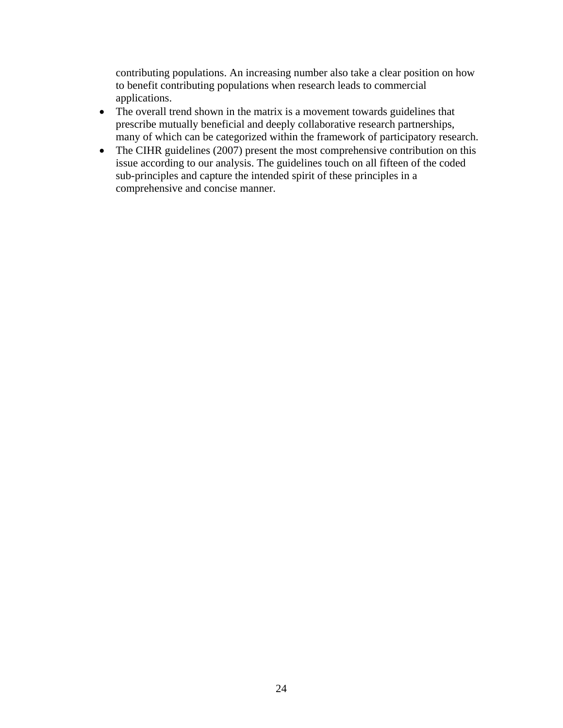contributing populations. An increasing number also take a clear position on how to benefit contributing populations when research leads to commercial applications.

- The overall trend shown in the matrix is a movement towards guidelines that prescribe mutually beneficial and deeply collaborative research partnerships, many of which can be categorized within the framework of participatory research.
- The CIHR guidelines (2007) present the most comprehensive contribution on this issue according to our analysis. The guidelines touch on all fifteen of the coded sub-principles and capture the intended spirit of these principles in a comprehensive and concise manner.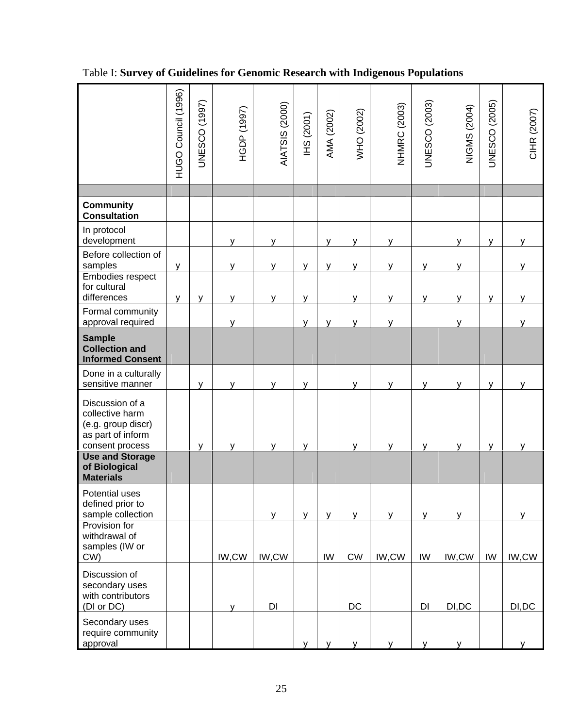|                                                                                                  | HUGO Council (1996) | <b>UNESCO</b> (1997) | HGDP (1997) | AIATSIS (2000) | <b>IHS (2001)</b> | AMA (2002)   | WHO (2002) | <b>NHMRC (2003)</b> | <b>UNESCO</b> (2003) | NIGMS (2004) | <b>JNESCO</b> (2005) | CIHR (2007) |
|--------------------------------------------------------------------------------------------------|---------------------|----------------------|-------------|----------------|-------------------|--------------|------------|---------------------|----------------------|--------------|----------------------|-------------|
|                                                                                                  |                     |                      |             |                |                   |              |            |                     |                      |              |                      |             |
| <b>Community</b><br><b>Consultation</b>                                                          |                     |                      |             |                |                   |              |            |                     |                      |              |                      |             |
| In protocol<br>development                                                                       |                     |                      | v           | v              |                   | y            | V          | ۷                   |                      | v            | V                    |             |
| Before collection of<br>samples                                                                  | y                   |                      | ۷           | y              | y                 | y            | y          | v                   | y                    | ۷            |                      | ۷           |
| Embodies respect<br>for cultural<br>differences                                                  | y                   | v                    | ۷           | у              | V                 |              | y          | v                   | v                    | ۷            | v                    | ۷           |
| Formal community<br>approval required                                                            |                     |                      | v           |                | y                 | y            | y          | v                   |                      | v            |                      | v           |
| <b>Sample</b><br><b>Collection and</b><br><b>Informed Consent</b>                                |                     |                      |             |                |                   |              |            |                     |                      |              |                      |             |
| Done in a culturally<br>sensitive manner                                                         |                     | v                    |             | v              | V                 |              | v          |                     | v                    | v            | v                    |             |
| Discussion of a<br>collective harm<br>(e.g. group discr)<br>as part of inform<br>consent process |                     | $\mathsf{V}$         | v           | v              | y                 |              | y          | ٧                   | y                    | v            | y                    | ۷           |
| <b>Use and Storage</b><br>of Biological<br><b>Materials</b>                                      |                     |                      |             |                |                   |              |            |                     |                      |              |                      |             |
| Potential uses<br>defined prior to<br>sample collection                                          |                     |                      |             | y              | y                 | y            | y          | V                   | y                    | v            |                      | V           |
| Provision for<br>withdrawal of<br>samples (IW or<br>CW)                                          |                     |                      | IW,CW       | IW,CW          |                   | IW           | ${\sf CW}$ | IW,CW               | IW                   | IW,CW        | IW                   | IW,CW       |
| Discussion of<br>secondary uses<br>with contributors<br>(DI or DC)                               |                     |                      | ۷           | DI             |                   |              | $DC$       |                     | DI                   | DI, DC       |                      | DI, DC      |
| Secondary uses<br>require community<br>approval                                                  |                     |                      |             |                | y                 | $\mathsf{V}$ | y          | ۷                   | y                    | v            |                      |             |

# Table I: **Survey of Guidelines for Genomic Research with Indigenous Populations**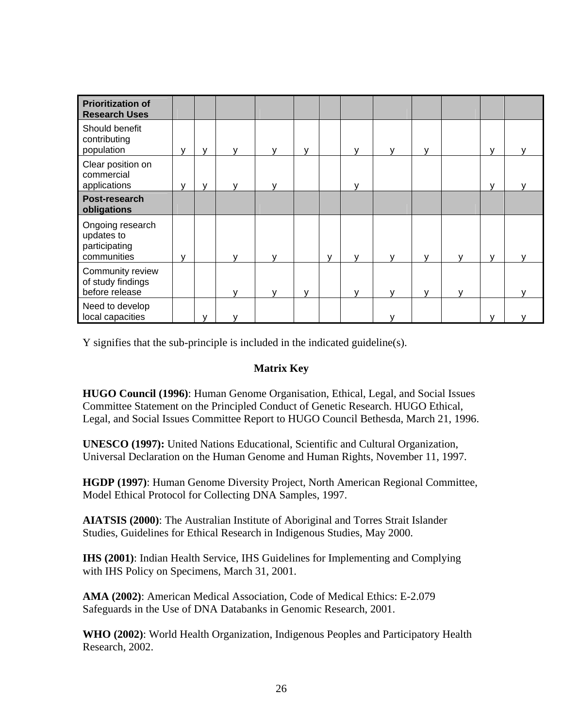| <b>Prioritization of</b><br><b>Research Uses</b>               |   |              |   |   |   |              |              |              |              |  |
|----------------------------------------------------------------|---|--------------|---|---|---|--------------|--------------|--------------|--------------|--|
| Should benefit<br>contributing<br>population                   | v | $\mathsf{V}$ |   | v |   | v            | v            | v            | v            |  |
| Clear position on<br>commercial<br>applications                | v | $\mathsf{V}$ |   |   |   | v            |              |              | $\mathsf{v}$ |  |
| Post-research<br>obligations                                   |   |              |   |   |   |              |              |              |              |  |
| Ongoing research<br>updates to<br>participating<br>communities | v |              |   |   | v | $\mathbf{v}$ | $\mathbf{v}$ | $\mathbf v$  | v            |  |
| Community review<br>of study findings<br>before release        |   |              | v | v |   | $\mathbf v$  | v            | $\mathbf{v}$ |              |  |
| Need to develop<br>local capacities                            |   | $\mathbf{v}$ |   |   |   |              |              |              | v            |  |

Y signifies that the sub-principle is included in the indicated guideline(s).

## **Matrix Key**

**HUGO Council (1996)**: Human Genome Organisation, Ethical, Legal, and Social Issues Committee Statement on the Principled Conduct of Genetic Research. HUGO Ethical, Legal, and Social Issues Committee Report to HUGO Council Bethesda, March 21, 1996.

**UNESCO (1997):** United Nations Educational, Scientific and Cultural Organization, Universal Declaration on the Human Genome and Human Rights, November 11, 1997.

**HGDP (1997)**: Human Genome Diversity Project, North American Regional Committee, Model Ethical Protocol for Collecting DNA Samples, 1997.

**AIATSIS (2000)**: The Australian Institute of Aboriginal and Torres Strait Islander Studies, Guidelines for Ethical Research in Indigenous Studies, May 2000.

**IHS (2001)**: Indian Health Service, IHS Guidelines for Implementing and Complying with IHS Policy on Specimens, March 31, 2001.

**AMA (2002)**: American Medical Association, Code of Medical Ethics: E-2.079 Safeguards in the Use of DNA Databanks in Genomic Research, 2001.

**WHO (2002)**: World Health Organization, Indigenous Peoples and Participatory Health Research, 2002.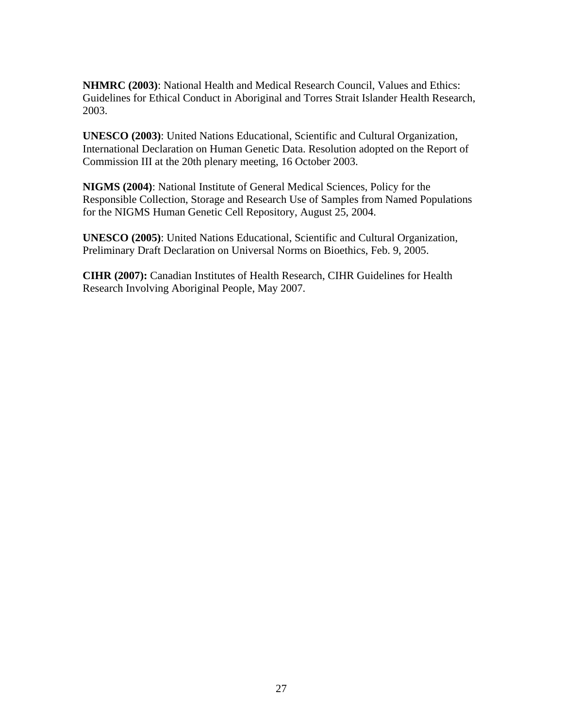**NHMRC (2003)**: National Health and Medical Research Council, Values and Ethics: Guidelines for Ethical Conduct in Aboriginal and Torres Strait Islander Health Research, 2003.

**UNESCO (2003)**: United Nations Educational, Scientific and Cultural Organization, International Declaration on Human Genetic Data. Resolution adopted on the Report of Commission III at the 20th plenary meeting, 16 October 2003.

**NIGMS (2004)**: National Institute of General Medical Sciences, Policy for the Responsible Collection, Storage and Research Use of Samples from Named Populations for the NIGMS Human Genetic Cell Repository, August 25, 2004.

**UNESCO (2005)**: United Nations Educational, Scientific and Cultural Organization, Preliminary Draft Declaration on Universal Norms on Bioethics, Feb. 9, 2005.

**CIHR (2007):** Canadian Institutes of Health Research, CIHR Guidelines for Health Research Involving Aboriginal People, May 2007.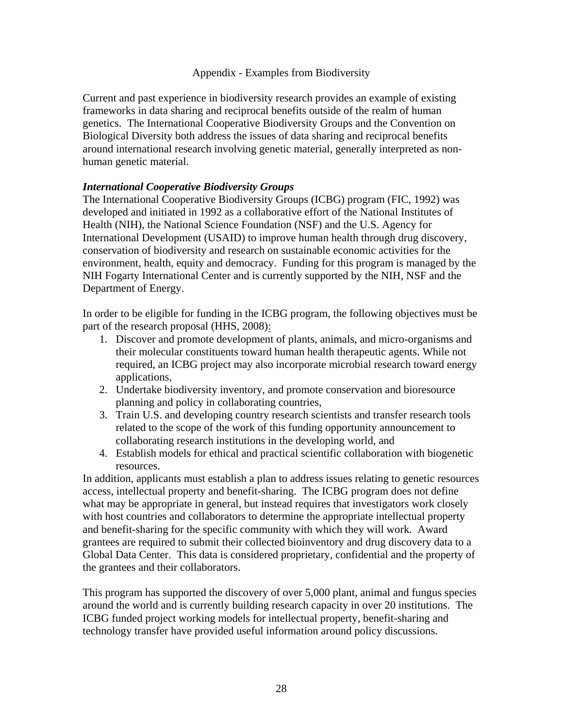### Appendix - Examples from Biodiversity

Current and past experience in biodiversity research provides an example of existing frameworks in data sharing and reciprocal benefits outside of the realm of human genetics. The International Cooperative Biodiversity Groups and the Convention on Biological Diversity both address the issues of data sharing and reciprocal benefits around international research involving genetic material, generally interpreted as nonhuman genetic material.

### *International Cooperative Biodiversity Groups*

The International Cooperative Biodiversity Groups (ICBG) program (FIC, 1992) was developed and initiated in 1992 as a collaborative effort of the National Institutes of Health (NIH), the National Science Foundation (NSF) and the U.S. Agency for International Development (USAID) to improve human health through drug discovery, conservation of biodiversity and research on sustainable economic activities for the environment, health, equity and democracy. Funding for this program is managed by the NIH Fogarty International Center and is currently supported by the NIH, NSF and the Department of Energy.

In order to be eligible for funding in the ICBG program, the following objectives must be part of the research proposal (HHS, 2008):

- 1. Discover and promote development of plants, animals, and micro-organisms and their molecular constituents toward human health therapeutic agents. While not required, an ICBG project may also incorporate microbial research toward energy applications,
- 2. Undertake biodiversity inventory, and promote conservation and bioresource planning and policy in collaborating countries,
- 3. Train U.S. and developing country research scientists and transfer research tools related to the scope of the work of this funding opportunity announcement to collaborating research institutions in the developing world, and
- 4. Establish models for ethical and practical scientific collaboration with biogenetic resources.

In addition, applicants must establish a plan to address issues relating to genetic resources access, intellectual property and benefit-sharing. The ICBG program does not define what may be appropriate in general, but instead requires that investigators work closely with host countries and collaborators to determine the appropriate intellectual property and benefit-sharing for the specific community with which they will work. Award grantees are required to submit their collected bioinventory and drug discovery data to a Global Data Center. This data is considered proprietary, confidential and the property of the grantees and their collaborators.

This program has supported the discovery of over 5,000 plant, animal and fungus species around the world and is currently building research capacity in over 20 institutions. The ICBG funded project working models for intellectual property, benefit-sharing and technology transfer have provided useful information around policy discussions.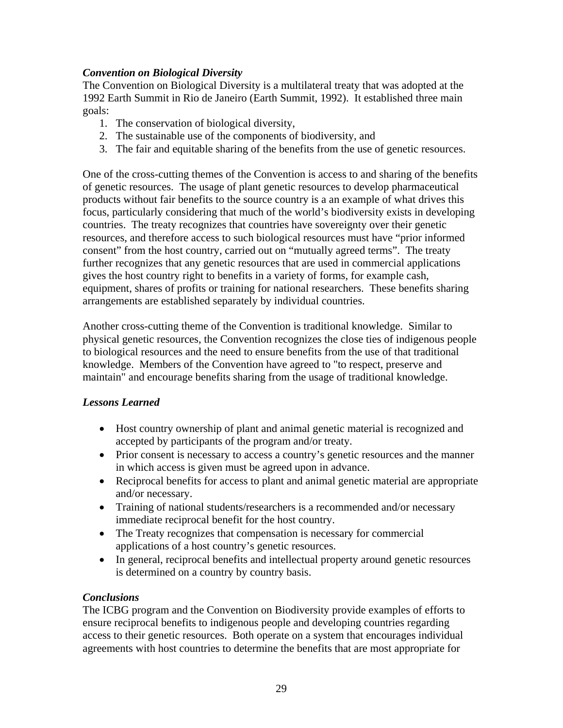## *Convention on Biological Diversity*

The Convention on Biological Diversity is a multilateral treaty that was adopted at the 1992 Earth Summit in Rio de Janeiro (Earth Summit, 1992). It established three main goals:

- 1. The conservation of biological diversity,
- 2. The sustainable use of the components of biodiversity, and
- 3. The fair and equitable sharing of the benefits from the use of genetic resources.

One of the cross-cutting themes of the Convention is access to and sharing of the benefits of genetic resources. The usage of plant genetic resources to develop pharmaceutical products without fair benefits to the source country is a an example of what drives this focus, particularly considering that much of the world's biodiversity exists in developing countries. The treaty recognizes that countries have sovereignty over their genetic resources, and therefore access to such biological resources must have "prior informed consent" from the host country, carried out on "mutually agreed terms". The treaty further recognizes that any genetic resources that are used in commercial applications gives the host country right to benefits in a variety of forms, for example cash, equipment, shares of profits or training for national researchers. These benefits sharing arrangements are established separately by individual countries.

Another cross-cutting theme of the Convention is traditional knowledge. Similar to physical genetic resources, the Convention recognizes the close ties of indigenous people to biological resources and the need to ensure benefits from the use of that traditional knowledge. Members of the Convention have agreed to "to respect, preserve and maintain" and encourage benefits sharing from the usage of traditional knowledge.

## *Lessons Learned*

- Host country ownership of plant and animal genetic material is recognized and accepted by participants of the program and/or treaty.
- Prior consent is necessary to access a country's genetic resources and the manner in which access is given must be agreed upon in advance.
- Reciprocal benefits for access to plant and animal genetic material are appropriate and/or necessary.
- Training of national students/researchers is a recommended and/or necessary immediate reciprocal benefit for the host country.
- The Treaty recognizes that compensation is necessary for commercial applications of a host country's genetic resources.
- In general, reciprocal benefits and intellectual property around genetic resources is determined on a country by country basis.

## *Conclusions*

The ICBG program and the Convention on Biodiversity provide examples of efforts to ensure reciprocal benefits to indigenous people and developing countries regarding access to their genetic resources. Both operate on a system that encourages individual agreements with host countries to determine the benefits that are most appropriate for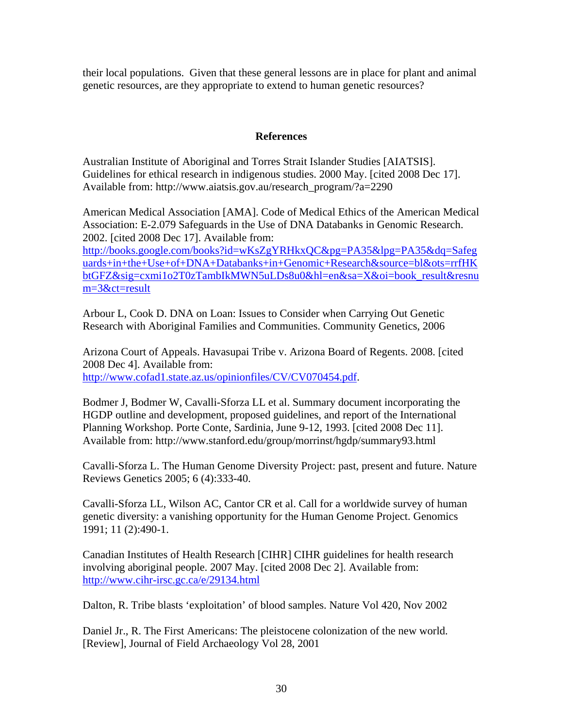their local populations. Given that these general lessons are in place for plant and animal genetic resources, are they appropriate to extend to human genetic resources?

### **References**

Australian Institute of Aboriginal and Torres Strait Islander Studies [AIATSIS]. Guidelines for ethical research in indigenous studies. 2000 May. [cited 2008 Dec 17]. Available from: http://www.aiatsis.gov.au/research\_program/?a=2290

American Medical Association [AMA]. Code of Medical Ethics of the American Medical Association: E-2.079 Safeguards in the Use of DNA Databanks in Genomic Research. 2002. [cited 2008 Dec 17]. Available from:

http://books.google.com/books?id=wKsZgYRHkxQC&pg=PA35&lpg=PA35&dq=Safeg uards+in+the+Use+of+DNA+Databanks+in+Genomic+Research&source=bl&ots=rrfHK btGFZ&sig=cxmi1o2T0zTambIkMWN5uLDs8u0&hl=en&sa=X&oi=book\_result&resnu m=3&ct=result

Arbour L, Cook D. DNA on Loan: Issues to Consider when Carrying Out Genetic Research with Aboriginal Families and Communities. Community Genetics, 2006

Arizona Court of Appeals. Havasupai Tribe v. Arizona Board of Regents. 2008. [cited 2008 Dec 4]. Available from: http://www.cofad1.state.az.us/opinionfiles/CV/CV070454.pdf.

Bodmer J, Bodmer W, Cavalli-Sforza LL et al. Summary document incorporating the HGDP outline and development, proposed guidelines, and report of the International Planning Workshop. Porte Conte, Sardinia, June 9-12, 1993. [cited 2008 Dec 11]. Available from: http://www.stanford.edu/group/morrinst/hgdp/summary93.html

Cavalli-Sforza L. The Human Genome Diversity Project: past, present and future. Nature Reviews Genetics 2005; 6 (4):333-40.

Cavalli-Sforza LL, Wilson AC, Cantor CR et al. Call for a worldwide survey of human genetic diversity: a vanishing opportunity for the Human Genome Project. Genomics 1991; 11 (2):490-1.

Canadian Institutes of Health Research [CIHR] CIHR guidelines for health research involving aboriginal people. 2007 May. [cited 2008 Dec 2]. Available from: http://www.cihr-irsc.gc.ca/e/29134.html

Dalton, R. Tribe blasts 'exploitation' of blood samples. Nature Vol 420, Nov 2002

Daniel Jr., R. The First Americans: The pleistocene colonization of the new world. [Review], Journal of Field Archaeology Vol 28, 2001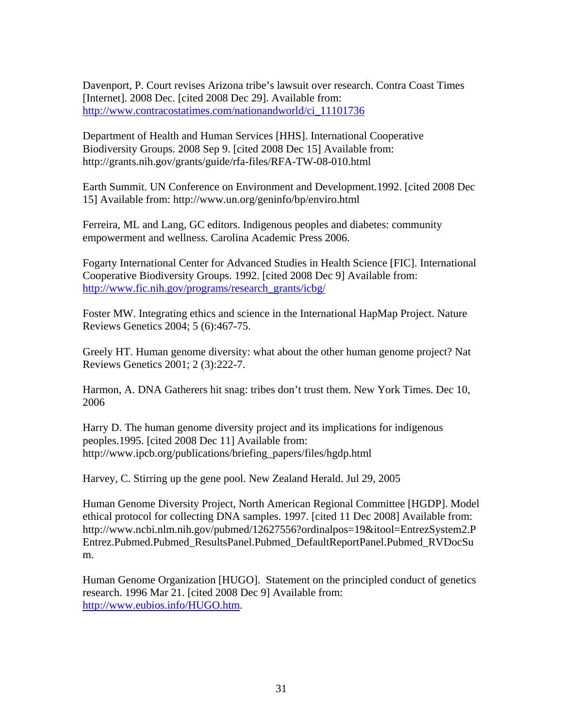Davenport, P. Court revises Arizona tribe's lawsuit over research. Contra Coast Times [Internet]. 2008 Dec. [cited 2008 Dec 29]. Available from: http://www.contracostatimes.com/nationandworld/ci\_11101736

Department of Health and Human Services [HHS]. International Cooperative Biodiversity Groups. 2008 Sep 9. [cited 2008 Dec 15] Available from: http://grants.nih.gov/grants/guide/rfa-files/RFA-TW-08-010.html

Earth Summit. UN Conference on Environment and Development.1992. [cited 2008 Dec 15] Available from: http://www.un.org/geninfo/bp/enviro.html

Ferreira, ML and Lang, GC editors. Indigenous peoples and diabetes: community empowerment and wellness. Carolina Academic Press 2006.

Fogarty International Center for Advanced Studies in Health Science [FIC]. International Cooperative Biodiversity Groups. 1992. [cited 2008 Dec 9] Available from: http://www.fic.nih.gov/programs/research\_grants/icbg/

Foster MW. Integrating ethics and science in the International HapMap Project. Nature Reviews Genetics 2004; 5 (6):467-75.

Greely HT. Human genome diversity: what about the other human genome project? Nat Reviews Genetics 2001; 2 (3):222-7.

Harmon, A. DNA Gatherers hit snag: tribes don't trust them. New York Times. Dec 10, 2006

Harry D. The human genome diversity project and its implications for indigenous peoples.1995. [cited 2008 Dec 11] Available from: http://www.ipcb.org/publications/briefing\_papers/files/hgdp.html

Harvey, C. Stirring up the gene pool. New Zealand Herald. Jul 29, 2005

Human Genome Diversity Project, North American Regional Committee [HGDP]. Model ethical protocol for collecting DNA samples. 1997. [cited 11 Dec 2008] Available from: http://www.ncbi.nlm.nih.gov/pubmed/12627556?ordinalpos=19&itool=EntrezSystem2.P Entrez.Pubmed.Pubmed\_ResultsPanel.Pubmed\_DefaultReportPanel.Pubmed\_RVDocSu m.

Human Genome Organization [HUGO]. Statement on the principled conduct of genetics research. 1996 Mar 21. [cited 2008 Dec 9] Available from: http://www.eubios.info/HUGO.htm.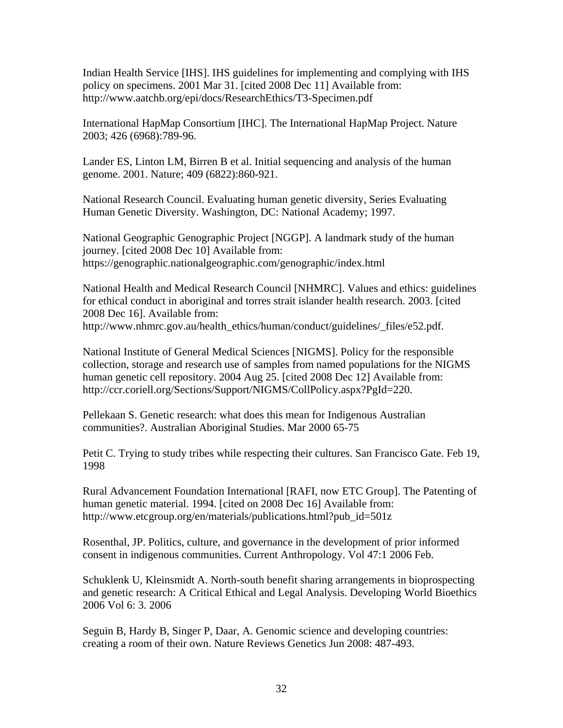Indian Health Service [IHS]. IHS guidelines for implementing and complying with IHS policy on specimens. 2001 Mar 31. [cited 2008 Dec 11] Available from: http://www.aatchb.org/epi/docs/ResearchEthics/T3-Specimen.pdf

International HapMap Consortium [IHC]. The International HapMap Project. Nature 2003; 426 (6968):789-96.

Lander ES, Linton LM, Birren B et al. Initial sequencing and analysis of the human genome. 2001. Nature; 409 (6822):860-921.

National Research Council. Evaluating human genetic diversity, Series Evaluating Human Genetic Diversity. Washington, DC: National Academy; 1997.

National Geographic Genographic Project [NGGP]. A landmark study of the human journey. [cited 2008 Dec 10] Available from: https://genographic.nationalgeographic.com/genographic/index.html

National Health and Medical Research Council [NHMRC]. Values and ethics: guidelines for ethical conduct in aboriginal and torres strait islander health research. 2003. [cited 2008 Dec 16]. Available from: http://www.nhmrc.gov.au/health\_ethics/human/conduct/guidelines/\_files/e52.pdf.

National Institute of General Medical Sciences [NIGMS]. Policy for the responsible collection, storage and research use of samples from named populations for the NIGMS human genetic cell repository. 2004 Aug 25. [cited 2008 Dec 12] Available from: http://ccr.coriell.org/Sections/Support/NIGMS/CollPolicy.aspx?PgId=220.

Pellekaan S. Genetic research: what does this mean for Indigenous Australian communities?. Australian Aboriginal Studies. Mar 2000 65-75

Petit C. Trying to study tribes while respecting their cultures. San Francisco Gate. Feb 19, 1998

Rural Advancement Foundation International [RAFI, now ETC Group]. The Patenting of human genetic material. 1994. [cited on 2008 Dec 16] Available from: http://www.etcgroup.org/en/materials/publications.html?pub\_id=501z

Rosenthal, JP. Politics, culture, and governance in the development of prior informed consent in indigenous communities. Current Anthropology. Vol 47:1 2006 Feb.

Schuklenk U, Kleinsmidt A. North-south benefit sharing arrangements in bioprospecting and genetic research: A Critical Ethical and Legal Analysis. Developing World Bioethics 2006 Vol 6: 3. 2006

Seguin B, Hardy B, Singer P, Daar, A. Genomic science and developing countries: creating a room of their own. Nature Reviews Genetics Jun 2008: 487-493.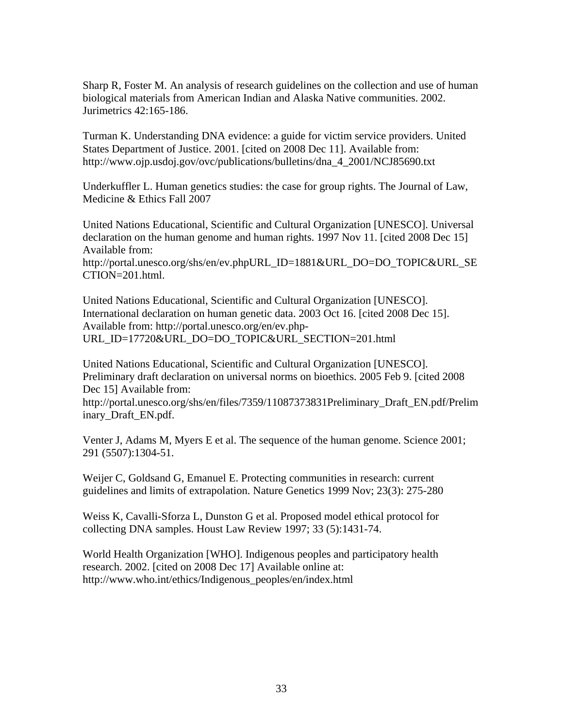Sharp R, Foster M. An analysis of research guidelines on the collection and use of human biological materials from American Indian and Alaska Native communities. 2002. Jurimetrics 42:165-186.

Turman K. Understanding DNA evidence: a guide for victim service providers. United States Department of Justice. 2001. [cited on 2008 Dec 11]. Available from: http://www.ojp.usdoj.gov/ovc/publications/bulletins/dna\_4\_2001/NCJ85690.txt

Underkuffler L. Human genetics studies: the case for group rights. The Journal of Law, Medicine & Ethics Fall 2007

United Nations Educational, Scientific and Cultural Organization [UNESCO]. Universal declaration on the human genome and human rights. 1997 Nov 11. [cited 2008 Dec 15] Available from:

http://portal.unesco.org/shs/en/ev.phpURL\_ID=1881&URL\_DO=DO\_TOPIC&URL\_SE CTION=201.html.

United Nations Educational, Scientific and Cultural Organization [UNESCO]. International declaration on human genetic data. 2003 Oct 16. [cited 2008 Dec 15]. Available from: http://portal.unesco.org/en/ev.php-URL\_ID=17720&URL\_DO=DO\_TOPIC&URL\_SECTION=201.html

United Nations Educational, Scientific and Cultural Organization [UNESCO]. Preliminary draft declaration on universal norms on bioethics. 2005 Feb 9. [cited 2008 Dec 15] Available from:

http://portal.unesco.org/shs/en/files/7359/11087373831Preliminary\_Draft\_EN.pdf/Prelim inary\_Draft\_EN.pdf.

Venter J, Adams M, Myers E et al. The sequence of the human genome. Science 2001; 291 (5507):1304-51.

Weijer C, Goldsand G, Emanuel E. Protecting communities in research: current guidelines and limits of extrapolation. Nature Genetics 1999 Nov; 23(3): 275-280

Weiss K, Cavalli-Sforza L, Dunston G et al. Proposed model ethical protocol for collecting DNA samples. Houst Law Review 1997; 33 (5):1431-74.

World Health Organization [WHO]. Indigenous peoples and participatory health research. 2002. [cited on 2008 Dec 17] Available online at: http://www.who.int/ethics/Indigenous\_peoples/en/index.html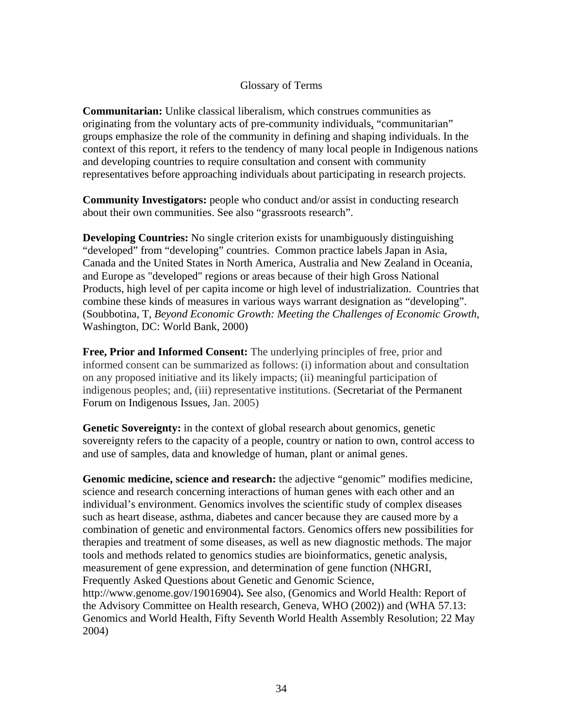### Glossary of Terms

**Communitarian:** Unlike classical liberalism, which construes communities as originating from the voluntary acts of pre-community individuals, "communitarian" groups emphasize the role of the community in defining and shaping individuals. In the context of this report, it refers to the tendency of many local people in Indigenous nations and developing countries to require consultation and consent with community representatives before approaching individuals about participating in research projects.

**Community Investigators:** people who conduct and/or assist in conducting research about their own communities. See also "grassroots research".

**Developing Countries:** No single criterion exists for unambiguously distinguishing "developed" from "developing" countries. Common practice labels Japan in Asia, Canada and the United States in North America, Australia and New Zealand in Oceania, and Europe as "developed" regions or areas because of their high Gross National Products, high level of per capita income or high level of industrialization. Countries that combine these kinds of measures in various ways warrant designation as "developing". (Soubbotina, T, *Beyond Economic Growth: Meeting the Challenges of Economic Growth*, Washington, DC: World Bank, 2000)

**Free, Prior and Informed Consent:** The underlying principles of free, prior and informed consent can be summarized as follows: (i) information about and consultation on any proposed initiative and its likely impacts; (ii) meaningful participation of indigenous peoples; and, (iii) representative institutions. (Secretariat of the Permanent Forum on Indigenous Issues, Jan. 2005)

**Genetic Sovereignty:** in the context of global research about genomics, genetic sovereignty refers to the capacity of a people, country or nation to own, control access to and use of samples, data and knowledge of human, plant or animal genes.

**Genomic medicine, science and research:** the adjective "genomic" modifies medicine, science and research concerning interactions of human genes with each other and an individual's environment. Genomics involves the scientific study of complex diseases such as heart disease, asthma, diabetes and cancer because they are caused more by a combination of genetic and environmental factors. Genomics offers new possibilities for therapies and treatment of some diseases, as well as new diagnostic methods. The major tools and methods related to genomics studies are bioinformatics, genetic analysis, measurement of gene expression, and determination of gene function (NHGRI, Frequently Asked Questions about Genetic and Genomic Science, http://www.genome.gov/19016904)**.** See also, (Genomics and World Health: Report of the Advisory Committee on Health research, Geneva, WHO (2002)) and (WHA 57.13: Genomics and World Health, Fifty Seventh World Health Assembly Resolution; 22 May 2004)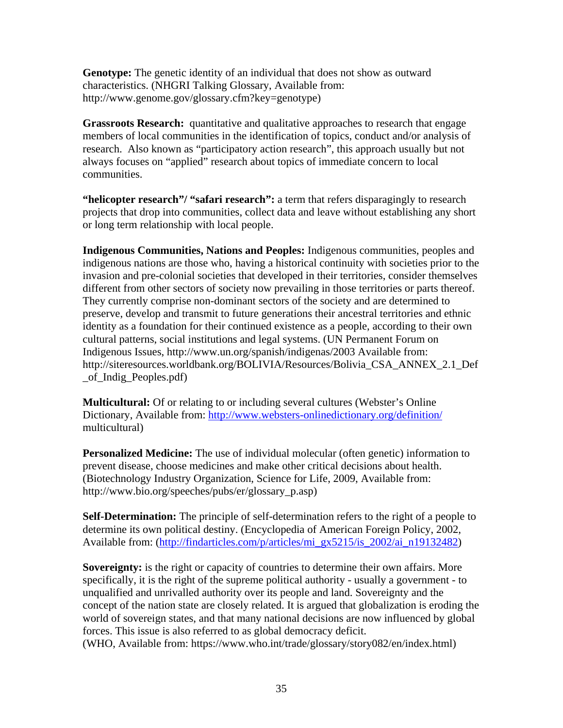**Genotype:** The genetic identity of an individual that does not show as outward characteristics. (NHGRI Talking Glossary, Available from: http://www.genome.gov/glossary.cfm?key=genotype)

**Grassroots Research:** quantitative and qualitative approaches to research that engage members of local communities in the identification of topics, conduct and/or analysis of research. Also known as "participatory action research", this approach usually but not always focuses on "applied" research about topics of immediate concern to local communities.

**"helicopter research"/ "safari research":** a term that refers disparagingly to research projects that drop into communities, collect data and leave without establishing any short or long term relationship with local people.

**Indigenous Communities, Nations and Peoples:** Indigenous communities, peoples and indigenous nations are those who, having a historical continuity with societies prior to the invasion and pre-colonial societies that developed in their territories, consider themselves different from other sectors of society now prevailing in those territories or parts thereof. They currently comprise non-dominant sectors of the society and are determined to preserve, develop and transmit to future generations their ancestral territories and ethnic identity as a foundation for their continued existence as a people, according to their own cultural patterns, social institutions and legal systems. (UN Permanent Forum on Indigenous Issues, http://www.un.org/spanish/indigenas/2003 Available from: http://siteresources.worldbank.org/BOLIVIA/Resources/Bolivia CSA ANNEX 2.1 Def \_of\_Indig\_Peoples.pdf)

**Multicultural:** Of or relating to or including several cultures (Webster's Online Dictionary, Available from: http://www.websters-onlinedictionary.org/definition/ multicultural)

**Personalized Medicine:** The use of individual molecular (often genetic) information to prevent disease, choose medicines and make other critical decisions about health. (Biotechnology Industry Organization, Science for Life, 2009, Available from: http://www.bio.org/speeches/pubs/er/glossary\_p.asp)

**Self-Determination:** The principle of self-determination refers to the right of a people to determine its own political destiny. (Encyclopedia of American Foreign Policy, 2002, Available from: (http://findarticles.com/p/articles/mi\_gx5215/is\_2002/ai\_n19132482)

**Sovereignty:** is the right or capacity of countries to determine their own affairs. More specifically, it is the right of the supreme political authority - usually a government - to unqualified and unrivalled authority over its people and land. Sovereignty and the concept of the nation state are closely related. It is argued that globalization is eroding the world of sovereign states, and that many national decisions are now influenced by global forces. This issue is also referred to as global democracy deficit.

(WHO, Available from: https://www.who.int/trade/glossary/story082/en/index.html)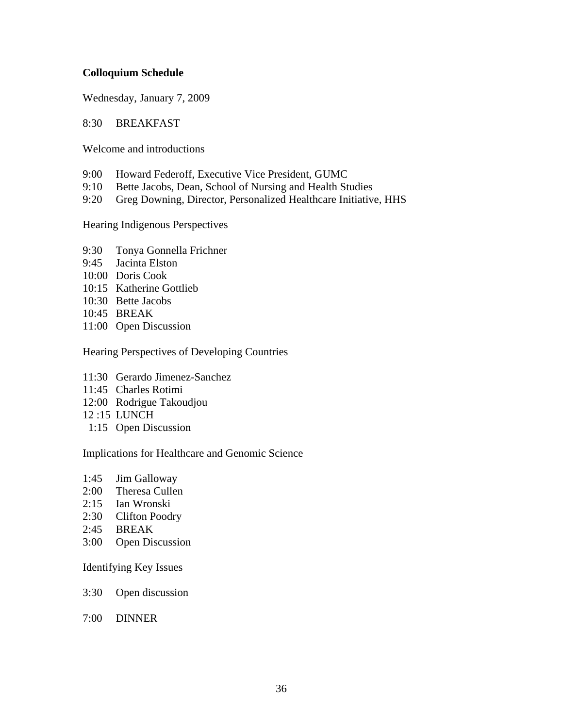### **Colloquium Schedule**

Wednesday, January 7, 2009

#### 8:30 BREAKFAST

Welcome and introductions

- 9:00 Howard Federoff, Executive Vice President, GUMC
- 9:10 Bette Jacobs, Dean, School of Nursing and Health Studies
- 9:20 Greg Downing, Director, Personalized Healthcare Initiative, HHS

Hearing Indigenous Perspectives

- 9:30 Tonya Gonnella Frichner
- 9:45 Jacinta Elston
- 10:00 Doris Cook
- 10:15 Katherine Gottlieb
- 10:30 Bette Jacobs
- 10:45 BREAK
- 11:00 Open Discussion

Hearing Perspectives of Developing Countries

- 11:30 Gerardo Jimenez-Sanchez
- 11:45 Charles Rotimi
- 12:00 Rodrigue Takoudjou
- 12 :15 LUNCH
- 1:15 Open Discussion

Implications for Healthcare and Genomic Science

- 1:45 Jim Galloway
- 2:00 Theresa Cullen
- 2:15 Ian Wronski
- 2:30 Clifton Poodry
- 2:45 BREAK
- 3:00 Open Discussion

Identifying Key Issues

- 3:30 Open discussion
- 7:00 DINNER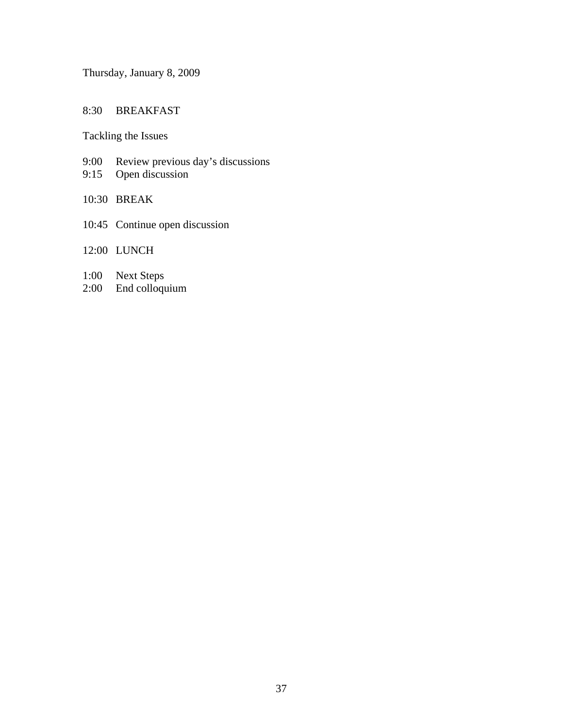Thursday, January 8, 2009

### 8:30 BREAKFAST

Tackling the Issues

- 9:00 Review previous day's discussions
- 9:15 Open discussion
- 10:30 BREAK
- 10:45 Continue open discussion
- 12:00 LUNCH
- 1:00 Next Steps
- 2:00 End colloquium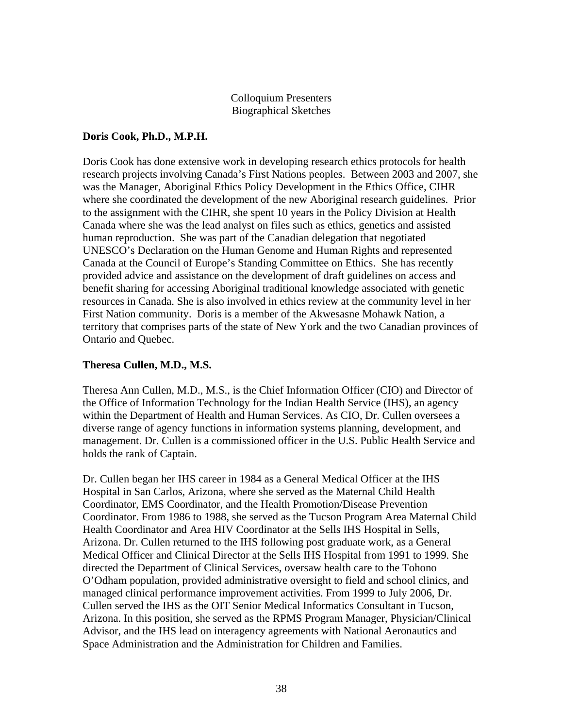### Colloquium Presenters Biographical Sketches

### **Doris Cook, Ph.D., M.P.H.**

Doris Cook has done extensive work in developing research ethics protocols for health research projects involving Canada's First Nations peoples. Between 2003 and 2007, she was the Manager, Aboriginal Ethics Policy Development in the Ethics Office, CIHR where she coordinated the development of the new Aboriginal research guidelines. Prior to the assignment with the CIHR, she spent 10 years in the Policy Division at Health Canada where she was the lead analyst on files such as ethics, genetics and assisted human reproduction. She was part of the Canadian delegation that negotiated UNESCO's Declaration on the Human Genome and Human Rights and represented Canada at the Council of Europe's Standing Committee on Ethics. She has recently provided advice and assistance on the development of draft guidelines on access and benefit sharing for accessing Aboriginal traditional knowledge associated with genetic resources in Canada. She is also involved in ethics review at the community level in her First Nation community. Doris is a member of the Akwesasne Mohawk Nation, a territory that comprises parts of the state of New York and the two Canadian provinces of Ontario and Quebec.

### **Theresa Cullen, M.D., M.S.**

Theresa Ann Cullen, M.D., M.S., is the Chief Information Officer (CIO) and Director of the Office of Information Technology for the Indian Health Service (IHS), an agency within the Department of Health and Human Services. As CIO, Dr. Cullen oversees a diverse range of agency functions in information systems planning, development, and management. Dr. Cullen is a commissioned officer in the U.S. Public Health Service and holds the rank of Captain.

Dr. Cullen began her IHS career in 1984 as a General Medical Officer at the IHS Hospital in San Carlos, Arizona, where she served as the Maternal Child Health Coordinator, EMS Coordinator, and the Health Promotion/Disease Prevention Coordinator. From 1986 to 1988, she served as the Tucson Program Area Maternal Child Health Coordinator and Area HIV Coordinator at the Sells IHS Hospital in Sells, Arizona. Dr. Cullen returned to the IHS following post graduate work, as a General Medical Officer and Clinical Director at the Sells IHS Hospital from 1991 to 1999. She directed the Department of Clinical Services, oversaw health care to the Tohono O'Odham population, provided administrative oversight to field and school clinics, and managed clinical performance improvement activities. From 1999 to July 2006, Dr. Cullen served the IHS as the OIT Senior Medical Informatics Consultant in Tucson, Arizona. In this position, she served as the RPMS Program Manager, Physician/Clinical Advisor, and the IHS lead on interagency agreements with National Aeronautics and Space Administration and the Administration for Children and Families.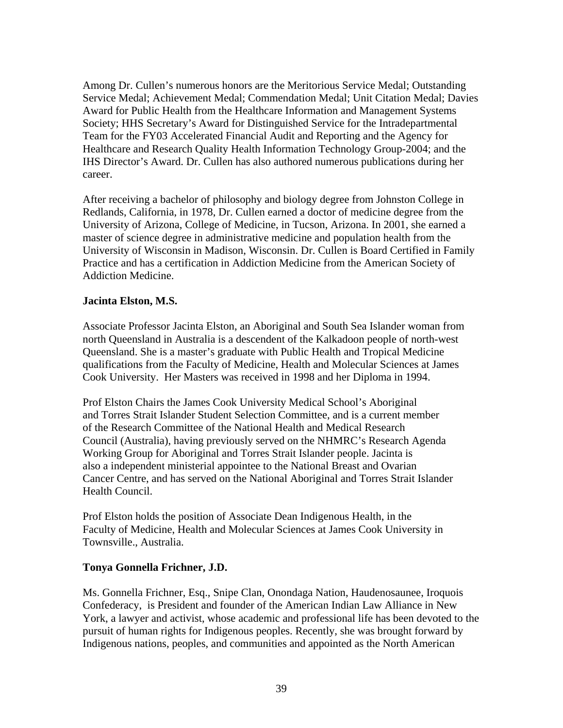Among Dr. Cullen's numerous honors are the Meritorious Service Medal; Outstanding Service Medal; Achievement Medal; Commendation Medal; Unit Citation Medal; Davies Award for Public Health from the Healthcare Information and Management Systems Society; HHS Secretary's Award for Distinguished Service for the Intradepartmental Team for the FY03 Accelerated Financial Audit and Reporting and the Agency for Healthcare and Research Quality Health Information Technology Group-2004; and the IHS Director's Award. Dr. Cullen has also authored numerous publications during her career.

After receiving a bachelor of philosophy and biology degree from Johnston College in Redlands, California, in 1978, Dr. Cullen earned a doctor of medicine degree from the University of Arizona, College of Medicine, in Tucson, Arizona. In 2001, she earned a master of science degree in administrative medicine and population health from the University of Wisconsin in Madison, Wisconsin. Dr. Cullen is Board Certified in Family Practice and has a certification in Addiction Medicine from the American Society of Addiction Medicine.

#### **Jacinta Elston, M.S.**

Associate Professor Jacinta Elston, an Aboriginal and South Sea Islander woman from north Queensland in Australia is a descendent of the Kalkadoon people of north-west Queensland. She is a master's graduate with Public Health and Tropical Medicine qualifications from the Faculty of Medicine, Health and Molecular Sciences at James Cook University. Her Masters was received in 1998 and her Diploma in 1994.

Prof Elston Chairs the James Cook University Medical School's Aboriginal and Torres Strait Islander Student Selection Committee, and is a current member of the Research Committee of the National Health and Medical Research Council (Australia), having previously served on the NHMRC's Research Agenda Working Group for Aboriginal and Torres Strait Islander people. Jacinta is also a independent ministerial appointee to the National Breast and Ovarian Cancer Centre, and has served on the National Aboriginal and Torres Strait Islander Health Council.

Prof Elston holds the position of Associate Dean Indigenous Health, in the Faculty of Medicine, Health and Molecular Sciences at James Cook University in Townsville., Australia.

#### **Tonya Gonnella Frichner, J.D.**

Ms. Gonnella Frichner, Esq., Snipe Clan, Onondaga Nation, Haudenosaunee, Iroquois Confederacy, is President and founder of the American Indian Law Alliance in New York, a lawyer and activist, whose academic and professional life has been devoted to the pursuit of human rights for Indigenous peoples. Recently, she was brought forward by Indigenous nations, peoples, and communities and appointed as the North American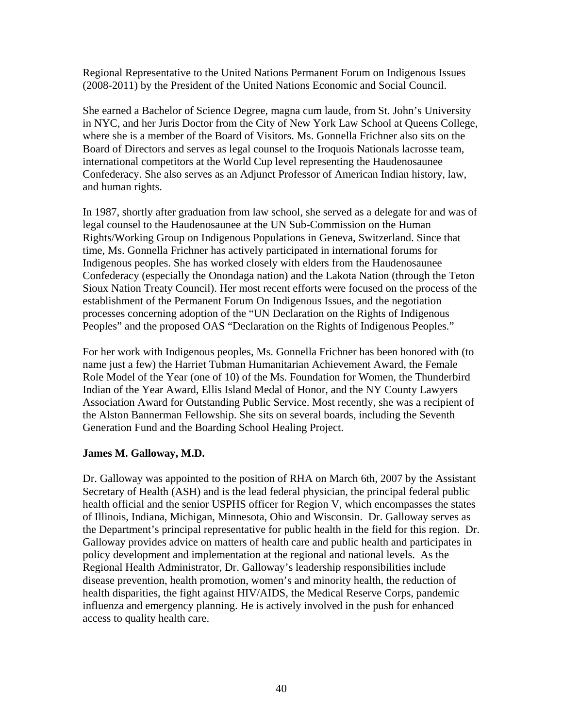Regional Representative to the United Nations Permanent Forum on Indigenous Issues (2008-2011) by the President of the United Nations Economic and Social Council.

She earned a Bachelor of Science Degree, magna cum laude, from St. John's University in NYC, and her Juris Doctor from the City of New York Law School at Queens College, where she is a member of the Board of Visitors. Ms. Gonnella Frichner also sits on the Board of Directors and serves as legal counsel to the Iroquois Nationals lacrosse team, international competitors at the World Cup level representing the Haudenosaunee Confederacy. She also serves as an Adjunct Professor of American Indian history, law, and human rights.

In 1987, shortly after graduation from law school, she served as a delegate for and was of legal counsel to the Haudenosaunee at the UN Sub-Commission on the Human Rights/Working Group on Indigenous Populations in Geneva, Switzerland. Since that time, Ms. Gonnella Frichner has actively participated in international forums for Indigenous peoples. She has worked closely with elders from the Haudenosaunee Confederacy (especially the Onondaga nation) and the Lakota Nation (through the Teton Sioux Nation Treaty Council). Her most recent efforts were focused on the process of the establishment of the Permanent Forum On Indigenous Issues, and the negotiation processes concerning adoption of the "UN Declaration on the Rights of Indigenous Peoples" and the proposed OAS "Declaration on the Rights of Indigenous Peoples."

For her work with Indigenous peoples, Ms. Gonnella Frichner has been honored with (to name just a few) the Harriet Tubman Humanitarian Achievement Award, the Female Role Model of the Year (one of 10) of the Ms. Foundation for Women, the Thunderbird Indian of the Year Award, Ellis Island Medal of Honor, and the NY County Lawyers Association Award for Outstanding Public Service. Most recently, she was a recipient of the Alston Bannerman Fellowship. She sits on several boards, including the Seventh Generation Fund and the Boarding School Healing Project.

#### **James M. Galloway, M.D.**

Dr. Galloway was appointed to the position of RHA on March 6th, 2007 by the Assistant Secretary of Health (ASH) and is the lead federal physician, the principal federal public health official and the senior USPHS officer for Region V, which encompasses the states of Illinois, Indiana, Michigan, Minnesota, Ohio and Wisconsin. Dr. Galloway serves as the Department's principal representative for public health in the field for this region. Dr. Galloway provides advice on matters of health care and public health and participates in policy development and implementation at the regional and national levels. As the Regional Health Administrator, Dr. Galloway's leadership responsibilities include disease prevention, health promotion, women's and minority health, the reduction of health disparities, the fight against HIV/AIDS, the Medical Reserve Corps, pandemic influenza and emergency planning. He is actively involved in the push for enhanced access to quality health care.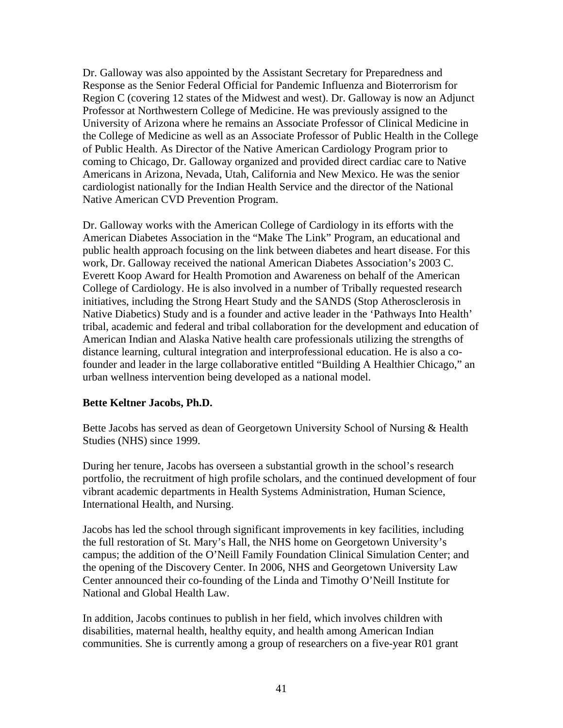Dr. Galloway was also appointed by the Assistant Secretary for Preparedness and Response as the Senior Federal Official for Pandemic Influenza and Bioterrorism for Region C (covering 12 states of the Midwest and west). Dr. Galloway is now an Adjunct Professor at Northwestern College of Medicine. He was previously assigned to the University of Arizona where he remains an Associate Professor of Clinical Medicine in the College of Medicine as well as an Associate Professor of Public Health in the College of Public Health. As Director of the Native American Cardiology Program prior to coming to Chicago, Dr. Galloway organized and provided direct cardiac care to Native Americans in Arizona, Nevada, Utah, California and New Mexico. He was the senior cardiologist nationally for the Indian Health Service and the director of the National Native American CVD Prevention Program.

Dr. Galloway works with the American College of Cardiology in its efforts with the American Diabetes Association in the "Make The Link" Program, an educational and public health approach focusing on the link between diabetes and heart disease. For this work, Dr. Galloway received the national American Diabetes Association's 2003 C. Everett Koop Award for Health Promotion and Awareness on behalf of the American College of Cardiology. He is also involved in a number of Tribally requested research initiatives, including the Strong Heart Study and the SANDS (Stop Atherosclerosis in Native Diabetics) Study and is a founder and active leader in the 'Pathways Into Health' tribal, academic and federal and tribal collaboration for the development and education of American Indian and Alaska Native health care professionals utilizing the strengths of distance learning, cultural integration and interprofessional education. He is also a cofounder and leader in the large collaborative entitled "Building A Healthier Chicago," an urban wellness intervention being developed as a national model.

## **Bette Keltner Jacobs, Ph.D.**

Bette Jacobs has served as dean of Georgetown University School of Nursing & Health Studies (NHS) since 1999.

During her tenure, Jacobs has overseen a substantial growth in the school's research portfolio, the recruitment of high profile scholars, and the continued development of four vibrant academic departments in Health Systems Administration, Human Science, International Health, and Nursing.

Jacobs has led the school through significant improvements in key facilities, including the full restoration of St. Mary's Hall, the NHS home on Georgetown University's campus; the addition of the O'Neill Family Foundation Clinical Simulation Center; and the opening of the Discovery Center. In 2006, NHS and Georgetown University Law Center announced their co-founding of the Linda and Timothy O'Neill Institute for National and Global Health Law.

In addition, Jacobs continues to publish in her field, which involves children with disabilities, maternal health, healthy equity, and health among American Indian communities. She is currently among a group of researchers on a five-year R01 grant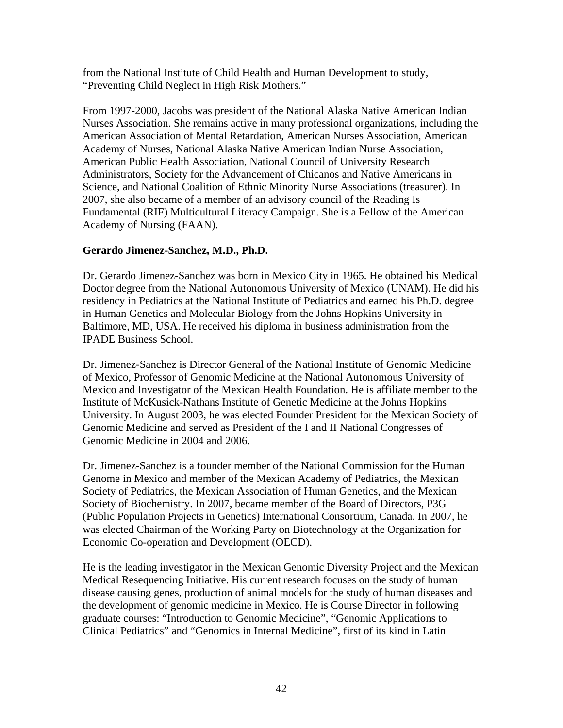from the National Institute of Child Health and Human Development to study, "Preventing Child Neglect in High Risk Mothers."

From 1997-2000, Jacobs was president of the National Alaska Native American Indian Nurses Association. She remains active in many professional organizations, including the American Association of Mental Retardation, American Nurses Association, American Academy of Nurses, National Alaska Native American Indian Nurse Association, American Public Health Association, National Council of University Research Administrators, Society for the Advancement of Chicanos and Native Americans in Science, and National Coalition of Ethnic Minority Nurse Associations (treasurer). In 2007, she also became of a member of an advisory council of the Reading Is Fundamental (RIF) Multicultural Literacy Campaign. She is a Fellow of the American Academy of Nursing (FAAN).

## **Gerardo Jimenez-Sanchez, M.D., Ph.D.**

Dr. Gerardo Jimenez-Sanchez was born in Mexico City in 1965. He obtained his Medical Doctor degree from the National Autonomous University of Mexico (UNAM). He did his residency in Pediatrics at the National Institute of Pediatrics and earned his Ph.D. degree in Human Genetics and Molecular Biology from the Johns Hopkins University in Baltimore, MD, USA. He received his diploma in business administration from the IPADE Business School.

Dr. Jimenez-Sanchez is Director General of the National Institute of Genomic Medicine of Mexico, Professor of Genomic Medicine at the National Autonomous University of Mexico and Investigator of the Mexican Health Foundation. He is affiliate member to the Institute of McKusick-Nathans Institute of Genetic Medicine at the Johns Hopkins University. In August 2003, he was elected Founder President for the Mexican Society of Genomic Medicine and served as President of the I and II National Congresses of Genomic Medicine in 2004 and 2006.

Dr. Jimenez-Sanchez is a founder member of the National Commission for the Human Genome in Mexico and member of the Mexican Academy of Pediatrics, the Mexican Society of Pediatrics, the Mexican Association of Human Genetics, and the Mexican Society of Biochemistry. In 2007, became member of the Board of Directors, P3G (Public Population Projects in Genetics) International Consortium, Canada. In 2007, he was elected Chairman of the Working Party on Biotechnology at the Organization for Economic Co-operation and Development (OECD).

He is the leading investigator in the Mexican Genomic Diversity Project and the Mexican Medical Resequencing Initiative. His current research focuses on the study of human disease causing genes, production of animal models for the study of human diseases and the development of genomic medicine in Mexico. He is Course Director in following graduate courses: "Introduction to Genomic Medicine", "Genomic Applications to Clinical Pediatrics" and "Genomics in Internal Medicine", first of its kind in Latin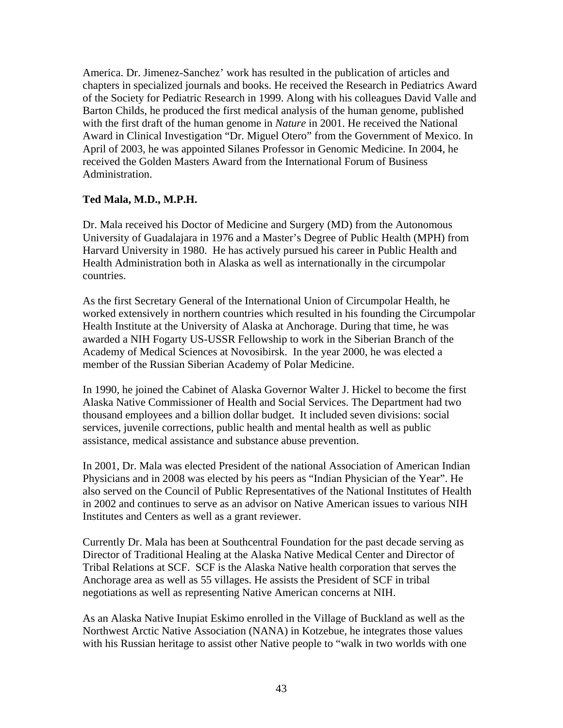America. Dr. Jimenez-Sanchez' work has resulted in the publication of articles and chapters in specialized journals and books. He received the Research in Pediatrics Award of the Society for Pediatric Research in 1999. Along with his colleagues David Valle and Barton Childs, he produced the first medical analysis of the human genome, published with the first draft of the human genome in *Nature* in 2001. He received the National Award in Clinical Investigation "Dr. Miguel Otero" from the Government of Mexico. In April of 2003, he was appointed Silanes Professor in Genomic Medicine. In 2004, he received the Golden Masters Award from the International Forum of Business Administration.

### **Ted Mala, M.D., M.P.H.**

Dr. Mala received his Doctor of Medicine and Surgery (MD) from the Autonomous University of Guadalajara in 1976 and a Master's Degree of Public Health (MPH) from Harvard University in 1980. He has actively pursued his career in Public Health and Health Administration both in Alaska as well as internationally in the circumpolar countries.

As the first Secretary General of the International Union of Circumpolar Health, he worked extensively in northern countries which resulted in his founding the Circumpolar Health Institute at the University of Alaska at Anchorage. During that time, he was awarded a NIH Fogarty US-USSR Fellowship to work in the Siberian Branch of the Academy of Medical Sciences at Novosibirsk. In the year 2000, he was elected a member of the Russian Siberian Academy of Polar Medicine.

In 1990, he joined the Cabinet of Alaska Governor Walter J. Hickel to become the first Alaska Native Commissioner of Health and Social Services. The Department had two thousand employees and a billion dollar budget. It included seven divisions: social services, juvenile corrections, public health and mental health as well as public assistance, medical assistance and substance abuse prevention.

In 2001, Dr. Mala was elected President of the national Association of American Indian Physicians and in 2008 was elected by his peers as "Indian Physician of the Year". He also served on the Council of Public Representatives of the National Institutes of Health in 2002 and continues to serve as an advisor on Native American issues to various NIH Institutes and Centers as well as a grant reviewer.

Currently Dr. Mala has been at Southcentral Foundation for the past decade serving as Director of Traditional Healing at the Alaska Native Medical Center and Director of Tribal Relations at SCF. SCF is the Alaska Native health corporation that serves the Anchorage area as well as 55 villages. He assists the President of SCF in tribal negotiations as well as representing Native American concerns at NIH.

As an Alaska Native Inupiat Eskimo enrolled in the Village of Buckland as well as the Northwest Arctic Native Association (NANA) in Kotzebue, he integrates those values with his Russian heritage to assist other Native people to "walk in two worlds with one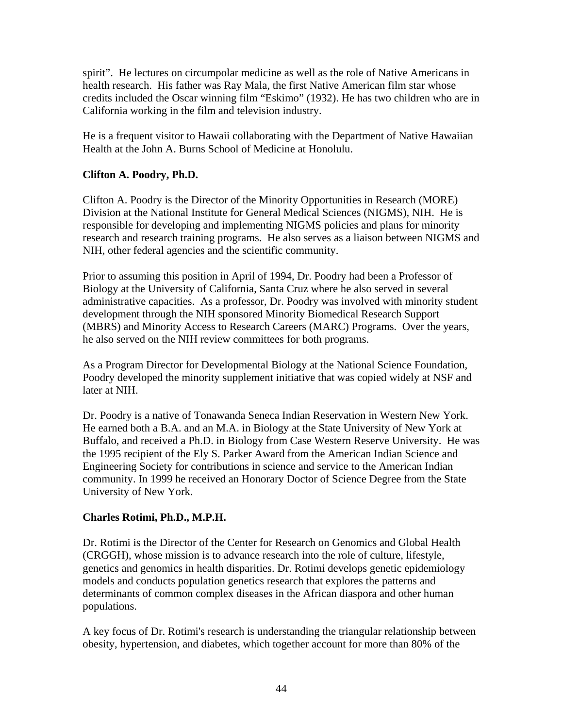spirit". He lectures on circumpolar medicine as well as the role of Native Americans in health research. His father was Ray Mala, the first Native American film star whose credits included the Oscar winning film "Eskimo" (1932). He has two children who are in California working in the film and television industry.

He is a frequent visitor to Hawaii collaborating with the Department of Native Hawaiian Health at the John A. Burns School of Medicine at Honolulu.

### **Clifton A. Poodry, Ph.D.**

Clifton A. Poodry is the Director of the Minority Opportunities in Research (MORE) Division at the National Institute for General Medical Sciences (NIGMS), NIH. He is responsible for developing and implementing NIGMS policies and plans for minority research and research training programs. He also serves as a liaison between NIGMS and NIH, other federal agencies and the scientific community.

Prior to assuming this position in April of 1994, Dr. Poodry had been a Professor of Biology at the University of California, Santa Cruz where he also served in several administrative capacities. As a professor, Dr. Poodry was involved with minority student development through the NIH sponsored Minority Biomedical Research Support (MBRS) and Minority Access to Research Careers (MARC) Programs. Over the years, he also served on the NIH review committees for both programs.

As a Program Director for Developmental Biology at the National Science Foundation, Poodry developed the minority supplement initiative that was copied widely at NSF and later at NIH.

Dr. Poodry is a native of Tonawanda Seneca Indian Reservation in Western New York. He earned both a B.A. and an M.A. in Biology at the State University of New York at Buffalo, and received a Ph.D. in Biology from Case Western Reserve University. He was the 1995 recipient of the Ely S. Parker Award from the American Indian Science and Engineering Society for contributions in science and service to the American Indian community. In 1999 he received an Honorary Doctor of Science Degree from the State University of New York.

## **Charles Rotimi, Ph.D., M.P.H.**

Dr. Rotimi is the Director of the Center for Research on Genomics and Global Health (CRGGH), whose mission is to advance research into the role of culture, lifestyle, genetics and genomics in health disparities. Dr. Rotimi develops genetic epidemiology models and conducts population genetics research that explores the patterns and determinants of common complex diseases in the African diaspora and other human populations.

A key focus of Dr. Rotimi's research is understanding the triangular relationship between obesity, hypertension, and diabetes, which together account for more than 80% of the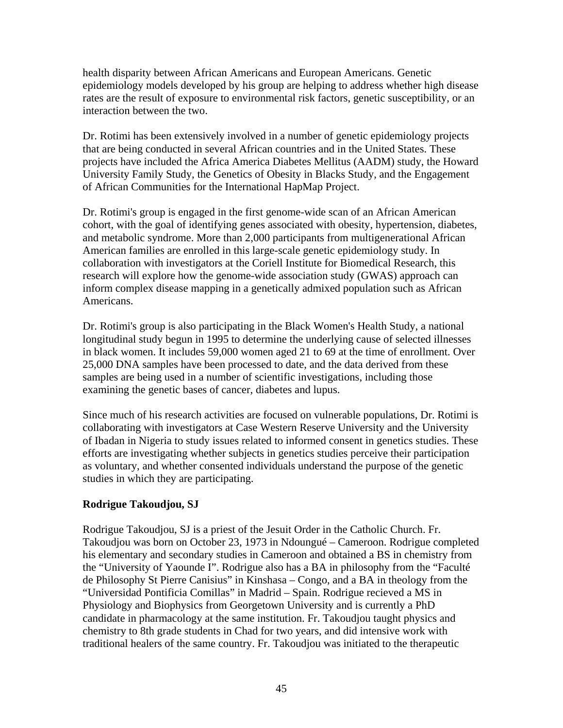health disparity between African Americans and European Americans. Genetic epidemiology models developed by his group are helping to address whether high disease rates are the result of exposure to environmental risk factors, genetic susceptibility, or an interaction between the two.

Dr. Rotimi has been extensively involved in a number of genetic epidemiology projects that are being conducted in several African countries and in the United States. These projects have included the Africa America Diabetes Mellitus (AADM) study, the Howard University Family Study, the Genetics of Obesity in Blacks Study, and the Engagement of African Communities for the International HapMap Project.

Dr. Rotimi's group is engaged in the first genome-wide scan of an African American cohort, with the goal of identifying genes associated with obesity, hypertension, diabetes, and metabolic syndrome. More than 2,000 participants from multigenerational African American families are enrolled in this large-scale genetic epidemiology study. In collaboration with investigators at the Coriell Institute for Biomedical Research, this research will explore how the genome-wide association study (GWAS) approach can inform complex disease mapping in a genetically admixed population such as African Americans.

Dr. Rotimi's group is also participating in the Black Women's Health Study, a national longitudinal study begun in 1995 to determine the underlying cause of selected illnesses in black women. It includes 59,000 women aged 21 to 69 at the time of enrollment. Over 25,000 DNA samples have been processed to date, and the data derived from these samples are being used in a number of scientific investigations, including those examining the genetic bases of cancer, diabetes and lupus.

Since much of his research activities are focused on vulnerable populations, Dr. Rotimi is collaborating with investigators at Case Western Reserve University and the University of Ibadan in Nigeria to study issues related to informed consent in genetics studies. These efforts are investigating whether subjects in genetics studies perceive their participation as voluntary, and whether consented individuals understand the purpose of the genetic studies in which they are participating.

## **Rodrigue Takoudjou, SJ**

Rodrigue Takoudjou, SJ is a priest of the Jesuit Order in the Catholic Church. Fr. Takoudjou was born on October 23, 1973 in Ndoungué – Cameroon. Rodrigue completed his elementary and secondary studies in Cameroon and obtained a BS in chemistry from the "University of Yaounde I". Rodrigue also has a BA in philosophy from the "Faculté de Philosophy St Pierre Canisius" in Kinshasa – Congo, and a BA in theology from the "Universidad Pontificia Comillas" in Madrid – Spain. Rodrigue recieved a MS in Physiology and Biophysics from Georgetown University and is currently a PhD candidate in pharmacology at the same institution. Fr. Takoudjou taught physics and chemistry to 8th grade students in Chad for two years, and did intensive work with traditional healers of the same country. Fr. Takoudjou was initiated to the therapeutic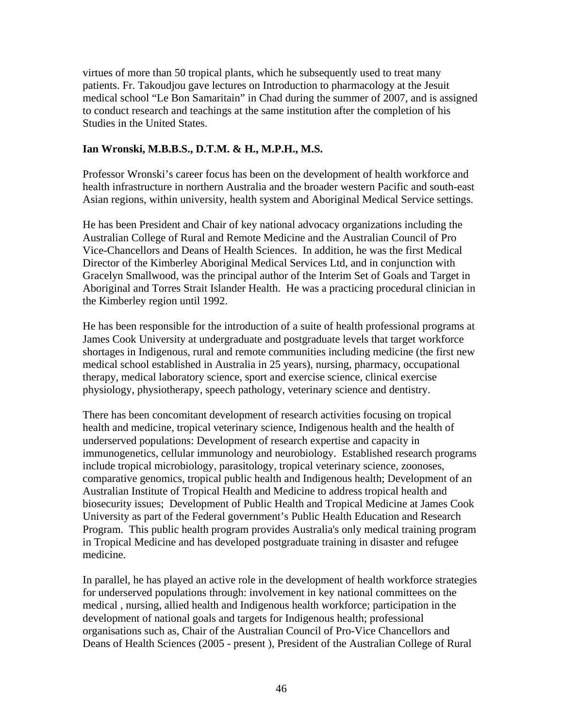virtues of more than 50 tropical plants, which he subsequently used to treat many patients. Fr. Takoudjou gave lectures on Introduction to pharmacology at the Jesuit medical school "Le Bon Samaritain" in Chad during the summer of 2007, and is assigned to conduct research and teachings at the same institution after the completion of his Studies in the United States.

### **Ian Wronski, M.B.B.S., D.T.M. & H., M.P.H., M.S.**

Professor Wronski's career focus has been on the development of health workforce and health infrastructure in northern Australia and the broader western Pacific and south-east Asian regions, within university, health system and Aboriginal Medical Service settings.

He has been President and Chair of key national advocacy organizations including the Australian College of Rural and Remote Medicine and the Australian Council of Pro Vice-Chancellors and Deans of Health Sciences. In addition, he was the first Medical Director of the Kimberley Aboriginal Medical Services Ltd, and in conjunction with Gracelyn Smallwood, was the principal author of the Interim Set of Goals and Target in Aboriginal and Torres Strait Islander Health. He was a practicing procedural clinician in the Kimberley region until 1992.

He has been responsible for the introduction of a suite of health professional programs at James Cook University at undergraduate and postgraduate levels that target workforce shortages in Indigenous, rural and remote communities including medicine (the first new medical school established in Australia in 25 years), nursing, pharmacy, occupational therapy, medical laboratory science, sport and exercise science, clinical exercise physiology, physiotherapy, speech pathology, veterinary science and dentistry.

There has been concomitant development of research activities focusing on tropical health and medicine, tropical veterinary science, Indigenous health and the health of underserved populations: Development of research expertise and capacity in immunogenetics, cellular immunology and neurobiology. Established research programs include tropical microbiology, parasitology, tropical veterinary science, zoonoses, comparative genomics, tropical public health and Indigenous health; Development of an Australian Institute of Tropical Health and Medicine to address tropical health and biosecurity issues; Development of Public Health and Tropical Medicine at James Cook University as part of the Federal government's Public Health Education and Research Program. This public health program provides Australia's only medical training program in Tropical Medicine and has developed postgraduate training in disaster and refugee medicine.

In parallel, he has played an active role in the development of health workforce strategies for underserved populations through: involvement in key national committees on the medical , nursing, allied health and Indigenous health workforce; participation in the development of national goals and targets for Indigenous health; professional organisations such as, Chair of the Australian Council of Pro-Vice Chancellors and Deans of Health Sciences (2005 - present ), President of the Australian College of Rural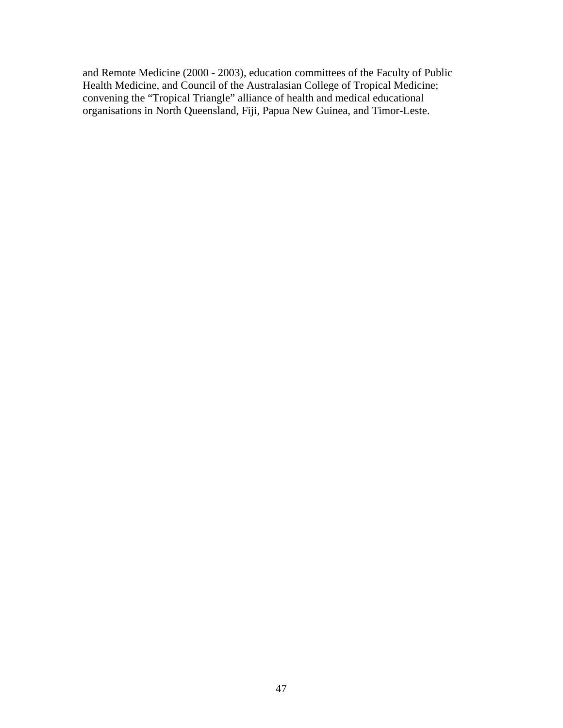and Remote Medicine (2000 - 2003), education committees of the Faculty of Public Health Medicine, and Council of the Australasian College of Tropical Medicine; convening the "Tropical Triangle" alliance of health and medical educational organisations in North Queensland, Fiji, Papua New Guinea, and Timor-Leste.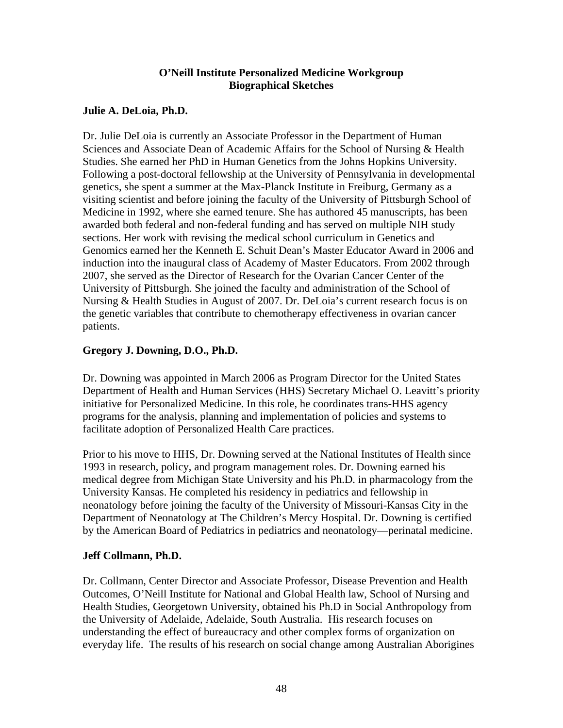### **O'Neill Institute Personalized Medicine Workgroup Biographical Sketches**

### **Julie A. DeLoia, Ph.D.**

Dr. Julie DeLoia is currently an Associate Professor in the Department of Human Sciences and Associate Dean of Academic Affairs for the School of Nursing & Health Studies. She earned her PhD in Human Genetics from the Johns Hopkins University. Following a post-doctoral fellowship at the University of Pennsylvania in developmental genetics, she spent a summer at the Max-Planck Institute in Freiburg, Germany as a visiting scientist and before joining the faculty of the University of Pittsburgh School of Medicine in 1992, where she earned tenure. She has authored 45 manuscripts, has been awarded both federal and non-federal funding and has served on multiple NIH study sections. Her work with revising the medical school curriculum in Genetics and Genomics earned her the Kenneth E. Schuit Dean's Master Educator Award in 2006 and induction into the inaugural class of Academy of Master Educators. From 2002 through 2007, she served as the Director of Research for the Ovarian Cancer Center of the University of Pittsburgh. She joined the faculty and administration of the School of Nursing & Health Studies in August of 2007. Dr. DeLoia's current research focus is on the genetic variables that contribute to chemotherapy effectiveness in ovarian cancer patients.

## **Gregory J. Downing, D.O., Ph.D.**

Dr. Downing was appointed in March 2006 as Program Director for the United States Department of Health and Human Services (HHS) Secretary Michael O. Leavitt's priority initiative for Personalized Medicine. In this role, he coordinates trans-HHS agency programs for the analysis, planning and implementation of policies and systems to facilitate adoption of Personalized Health Care practices.

Prior to his move to HHS, Dr. Downing served at the National Institutes of Health since 1993 in research, policy, and program management roles. Dr. Downing earned his medical degree from Michigan State University and his Ph.D. in pharmacology from the University Kansas. He completed his residency in pediatrics and fellowship in neonatology before joining the faculty of the University of Missouri-Kansas City in the Department of Neonatology at The Children's Mercy Hospital. Dr. Downing is certified by the American Board of Pediatrics in pediatrics and neonatology—perinatal medicine.

## **Jeff Collmann, Ph.D.**

Dr. Collmann, Center Director and Associate Professor, Disease Prevention and Health Outcomes, O'Neill Institute for National and Global Health law, School of Nursing and Health Studies, Georgetown University, obtained his Ph.D in Social Anthropology from the University of Adelaide, Adelaide, South Australia. His research focuses on understanding the effect of bureaucracy and other complex forms of organization on everyday life. The results of his research on social change among Australian Aborigines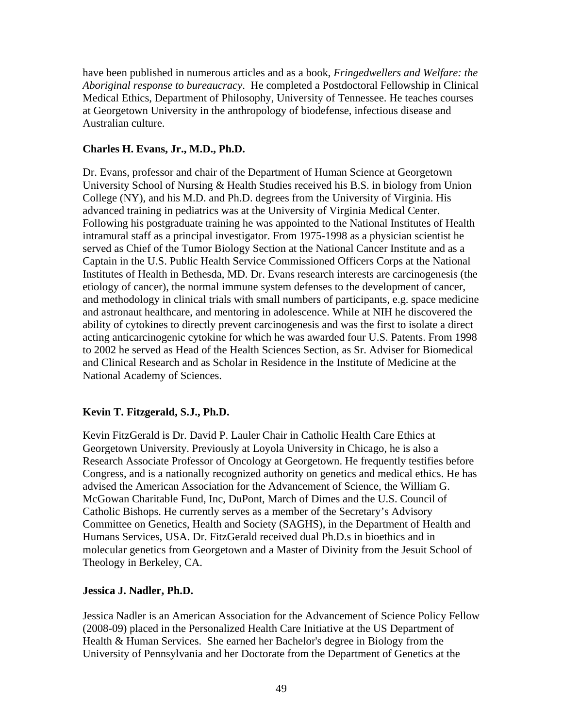have been published in numerous articles and as a book, *Fringedwellers and Welfare: the Aboriginal response to bureaucracy*. He completed a Postdoctoral Fellowship in Clinical Medical Ethics, Department of Philosophy, University of Tennessee. He teaches courses at Georgetown University in the anthropology of biodefense, infectious disease and Australian culture.

### **Charles H. Evans, Jr., M.D., Ph.D.**

Dr. Evans, professor and chair of the Department of Human Science at Georgetown University School of Nursing & Health Studies received his B.S. in biology from Union College (NY), and his M.D. and Ph.D. degrees from the University of Virginia. His advanced training in pediatrics was at the University of Virginia Medical Center. Following his postgraduate training he was appointed to the National Institutes of Health intramural staff as a principal investigator. From 1975-1998 as a physician scientist he served as Chief of the Tumor Biology Section at the National Cancer Institute and as a Captain in the U.S. Public Health Service Commissioned Officers Corps at the National Institutes of Health in Bethesda, MD. Dr. Evans research interests are carcinogenesis (the etiology of cancer), the normal immune system defenses to the development of cancer, and methodology in clinical trials with small numbers of participants, e.g. space medicine and astronaut healthcare, and mentoring in adolescence. While at NIH he discovered the ability of cytokines to directly prevent carcinogenesis and was the first to isolate a direct acting anticarcinogenic cytokine for which he was awarded four U.S. Patents. From 1998 to 2002 he served as Head of the Health Sciences Section, as Sr. Adviser for Biomedical and Clinical Research and as Scholar in Residence in the Institute of Medicine at the National Academy of Sciences.

## **Kevin T. Fitzgerald, S.J., Ph.D.**

Kevin FitzGerald is Dr. David P. Lauler Chair in Catholic Health Care Ethics at Georgetown University. Previously at Loyola University in Chicago, he is also a Research Associate Professor of Oncology at Georgetown. He frequently testifies before Congress, and is a nationally recognized authority on genetics and medical ethics. He has advised the American Association for the Advancement of Science, the William G. McGowan Charitable Fund, Inc, DuPont, March of Dimes and the U.S. Council of Catholic Bishops. He currently serves as a member of the Secretary's Advisory Committee on Genetics, Health and Society (SAGHS), in the Department of Health and Humans Services, USA. Dr. FitzGerald received dual Ph.D.s in bioethics and in molecular genetics from Georgetown and a Master of Divinity from the Jesuit School of Theology in Berkeley, CA.

#### **Jessica J. Nadler, Ph.D.**

Jessica Nadler is an American Association for the Advancement of Science Policy Fellow (2008-09) placed in the Personalized Health Care Initiative at the US Department of Health & Human Services. She earned her Bachelor's degree in Biology from the University of Pennsylvania and her Doctorate from the Department of Genetics at the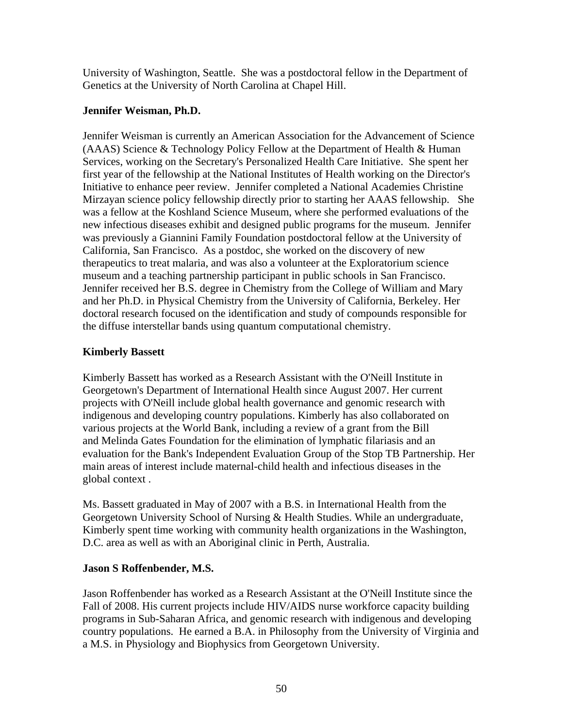University of Washington, Seattle. She was a postdoctoral fellow in the Department of Genetics at the University of North Carolina at Chapel Hill.

## **Jennifer Weisman, Ph.D.**

Jennifer Weisman is currently an American Association for the Advancement of Science (AAAS) Science & Technology Policy Fellow at the Department of Health & Human Services, working on the Secretary's Personalized Health Care Initiative. She spent her first year of the fellowship at the National Institutes of Health working on the Director's Initiative to enhance peer review. Jennifer completed a National Academies Christine Mirzayan science policy fellowship directly prior to starting her AAAS fellowship. She was a fellow at the Koshland Science Museum, where she performed evaluations of the new infectious diseases exhibit and designed public programs for the museum. Jennifer was previously a Giannini Family Foundation postdoctoral fellow at the University of California, San Francisco. As a postdoc, she worked on the discovery of new therapeutics to treat malaria, and was also a volunteer at the Exploratorium science museum and a teaching partnership participant in public schools in San Francisco. Jennifer received her B.S. degree in Chemistry from the College of William and Mary and her Ph.D. in Physical Chemistry from the University of California, Berkeley. Her doctoral research focused on the identification and study of compounds responsible for the diffuse interstellar bands using quantum computational chemistry.

## **Kimberly Bassett**

Kimberly Bassett has worked as a Research Assistant with the O'Neill Institute in Georgetown's Department of International Health since August 2007. Her current projects with O'Neill include global health governance and genomic research with indigenous and developing country populations. Kimberly has also collaborated on various projects at the World Bank, including a review of a grant from the Bill and Melinda Gates Foundation for the elimination of lymphatic filariasis and an evaluation for the Bank's Independent Evaluation Group of the Stop TB Partnership. Her main areas of interest include maternal-child health and infectious diseases in the global context .

Ms. Bassett graduated in May of 2007 with a B.S. in International Health from the Georgetown University School of Nursing & Health Studies. While an undergraduate, Kimberly spent time working with community health organizations in the Washington, D.C. area as well as with an Aboriginal clinic in Perth, Australia.

## **Jason S Roffenbender, M.S.**

Jason Roffenbender has worked as a Research Assistant at the O'Neill Institute since the Fall of 2008. His current projects include HIV/AIDS nurse workforce capacity building programs in Sub-Saharan Africa, and genomic research with indigenous and developing country populations. He earned a B.A. in Philosophy from the University of Virginia and a M.S. in Physiology and Biophysics from Georgetown University.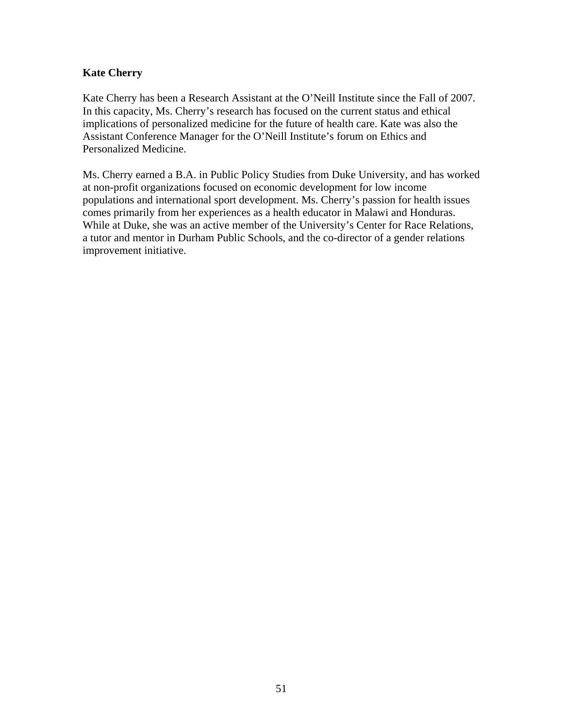## **Kate Cherry**

Kate Cherry has been a Research Assistant at the O'Neill Institute since the Fall of 2007. In this capacity, Ms. Cherry's research has focused on the current status and ethical implications of personalized medicine for the future of health care. Kate was also the Assistant Conference Manager for the O'Neill Institute's forum on Ethics and Personalized Medicine.

Ms. Cherry earned a B.A. in Public Policy Studies from Duke University, and has worked at non-profit organizations focused on economic development for low income populations and international sport development. Ms. Cherry's passion for health issues comes primarily from her experiences as a health educator in Malawi and Honduras. While at Duke, she was an active member of the University's Center for Race Relations, a tutor and mentor in Durham Public Schools, and the co-director of a gender relations improvement initiative.